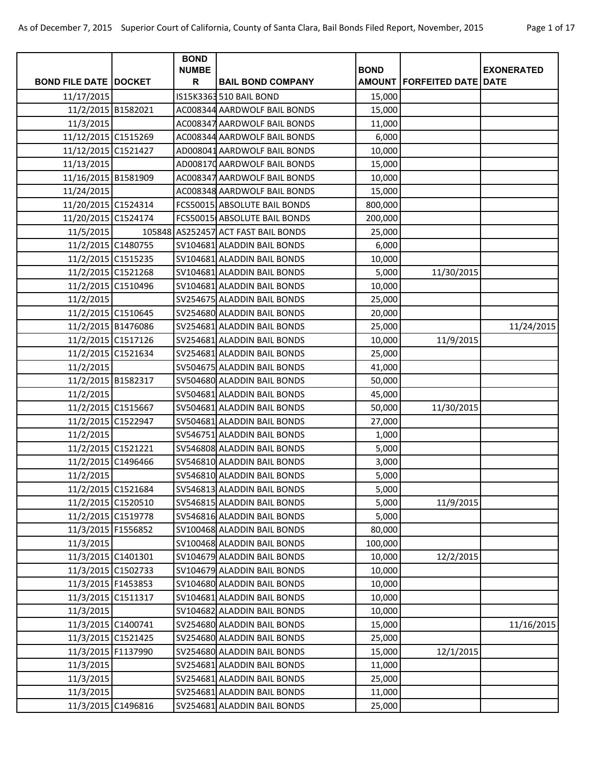| Page 1 of 17 |  |  |
|--------------|--|--|
|--------------|--|--|

|                              | <b>BOND</b><br><b>NUMBE</b> |                                     | <b>BOND</b> |                                |                   |
|------------------------------|-----------------------------|-------------------------------------|-------------|--------------------------------|-------------------|
| <b>BOND FILE DATE DOCKET</b> | R                           | <b>BAIL BOND COMPANY</b>            |             | AMOUNT   FORFEITED DATE   DATE | <b>EXONERATED</b> |
| 11/17/2015                   |                             | IS15K3363 510 BAIL BOND             | 15,000      |                                |                   |
| 11/2/2015 B1582021           |                             | AC008344 AARDWOLF BAIL BONDS        | 15,000      |                                |                   |
| 11/3/2015                    |                             | AC008347 AARDWOLF BAIL BONDS        | 11,000      |                                |                   |
| 11/12/2015 C1515269          |                             | AC008344 AARDWOLF BAIL BONDS        | 6,000       |                                |                   |
| 11/12/2015 C1521427          |                             | AD008041 AARDWOLF BAIL BONDS        | 10,000      |                                |                   |
| 11/13/2015                   |                             | AD008170 AARDWOLF BAIL BONDS        | 15,000      |                                |                   |
| 11/16/2015 B1581909          |                             | AC008347 AARDWOLF BAIL BONDS        | 10,000      |                                |                   |
| 11/24/2015                   |                             | AC008348 AARDWOLF BAIL BONDS        | 15,000      |                                |                   |
| 11/20/2015 C1524314          |                             | FCS500151ABSOLUTE BAIL BONDS        | 800,000     |                                |                   |
| 11/20/2015 C1524174          |                             | FCS50015 ABSOLUTE BAIL BONDS        | 200,000     |                                |                   |
| 11/5/2015                    |                             | 105848 AS252457 ACT FAST BAIL BONDS | 25,000      |                                |                   |
| 11/2/2015 C1480755           |                             | SV104681 ALADDIN BAIL BONDS         | 6,000       |                                |                   |
| 11/2/2015 C1515235           |                             | SV104681 ALADDIN BAIL BONDS         | 10,000      |                                |                   |
| 11/2/2015 C1521268           |                             | SV104681 ALADDIN BAIL BONDS         | 5,000       | 11/30/2015                     |                   |
| 11/2/2015 C1510496           |                             | SV104681 ALADDIN BAIL BONDS         | 10,000      |                                |                   |
| 11/2/2015                    |                             | SV254675 ALADDIN BAIL BONDS         | 25,000      |                                |                   |
| 11/2/2015 C1510645           |                             | SV254680 ALADDIN BAIL BONDS         | 20,000      |                                |                   |
| 11/2/2015 B1476086           |                             | SV254681 ALADDIN BAIL BONDS         | 25,000      |                                | 11/24/2015        |
| 11/2/2015 C1517126           |                             | SV254681 ALADDIN BAIL BONDS         | 10,000      | 11/9/2015                      |                   |
| 11/2/2015 C1521634           |                             | SV254681 ALADDIN BAIL BONDS         | 25,000      |                                |                   |
| 11/2/2015                    |                             | SV504675 ALADDIN BAIL BONDS         | 41,000      |                                |                   |
| 11/2/2015 B1582317           |                             | SV504680 ALADDIN BAIL BONDS         | 50,000      |                                |                   |
| 11/2/2015                    |                             | SV504681 ALADDIN BAIL BONDS         | 45,000      |                                |                   |
| 11/2/2015 C1515667           |                             | SV504681 ALADDIN BAIL BONDS         | 50,000      | 11/30/2015                     |                   |
| 11/2/2015 C1522947           |                             | SV504681 ALADDIN BAIL BONDS         | 27,000      |                                |                   |
| 11/2/2015                    |                             | SV546751 ALADDIN BAIL BONDS         | 1,000       |                                |                   |
| 11/2/2015 C1521221           |                             | SV546808 ALADDIN BAIL BONDS         | 5,000       |                                |                   |
| 11/2/2015 C1496466           |                             | SV546810 ALADDIN BAIL BONDS         | 3,000       |                                |                   |
| 11/2/2015                    |                             | SV546810 ALADDIN BAIL BONDS         | 5,000       |                                |                   |
| 11/2/2015 C1521684           |                             | SV546813 ALADDIN BAIL BONDS         | 5,000       |                                |                   |
| 11/2/2015 C1520510           |                             | SV546815 ALADDIN BAIL BONDS         | 5,000       | 11/9/2015                      |                   |
| 11/2/2015 C1519778           |                             | SV546816 ALADDIN BAIL BONDS         | 5,000       |                                |                   |
| 11/3/2015 F1556852           |                             | SV100468 ALADDIN BAIL BONDS         | 80,000      |                                |                   |
| 11/3/2015                    |                             | SV100468 ALADDIN BAIL BONDS         | 100,000     |                                |                   |
| 11/3/2015 C1401301           |                             | SV104679 ALADDIN BAIL BONDS         | 10,000      | 12/2/2015                      |                   |
| 11/3/2015 C1502733           |                             | SV104679 ALADDIN BAIL BONDS         | 10,000      |                                |                   |
| 11/3/2015 F1453853           |                             | SV104680 ALADDIN BAIL BONDS         | 10,000      |                                |                   |
| 11/3/2015 C1511317           |                             | SV104681 ALADDIN BAIL BONDS         | 10,000      |                                |                   |
| 11/3/2015                    |                             | SV104682 ALADDIN BAIL BONDS         | 10,000      |                                |                   |
| 11/3/2015 C1400741           |                             | SV254680 ALADDIN BAIL BONDS         | 15,000      |                                | 11/16/2015        |
| 11/3/2015 C1521425           |                             | SV254680 ALADDIN BAIL BONDS         | 25,000      |                                |                   |
| 11/3/2015 F1137990           |                             | SV254680 ALADDIN BAIL BONDS         | 15,000      | 12/1/2015                      |                   |
| 11/3/2015                    |                             | SV254681 ALADDIN BAIL BONDS         | 11,000      |                                |                   |
| 11/3/2015                    |                             | SV254681 ALADDIN BAIL BONDS         | 25,000      |                                |                   |
| 11/3/2015                    |                             | SV254681 ALADDIN BAIL BONDS         | 11,000      |                                |                   |
| 11/3/2015 C1496816           |                             | SV254681 ALADDIN BAIL BONDS         | 25,000      |                                |                   |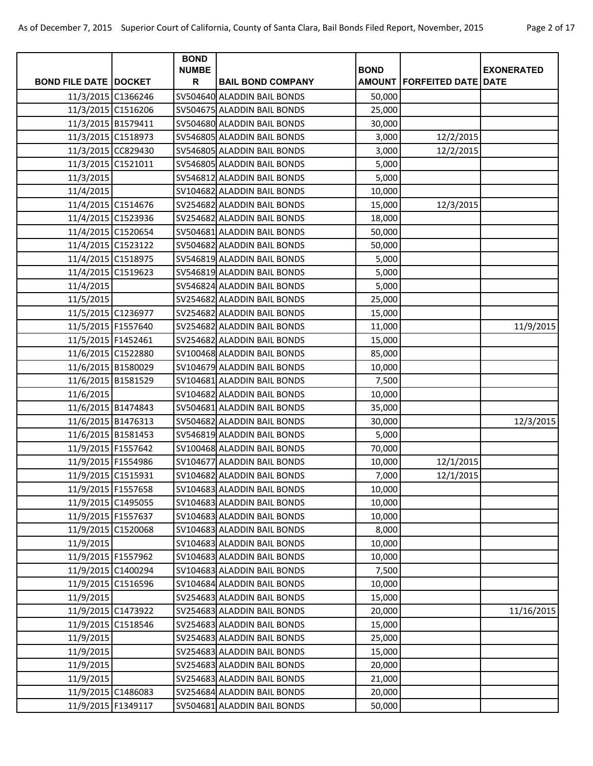| Page 2 of 17 |  |  |
|--------------|--|--|
|              |  |  |

|                                | <b>BOND</b>       |                             |             |                                       |                   |
|--------------------------------|-------------------|-----------------------------|-------------|---------------------------------------|-------------------|
| <b>BOND FILE DATE   DOCKET</b> | <b>NUMBE</b><br>R | <b>BAIL BOND COMPANY</b>    | <b>BOND</b> | <b>AMOUNT   FORFEITED DATE   DATE</b> | <b>EXONERATED</b> |
| 11/3/2015 C1366246             |                   | SV504640 ALADDIN BAIL BONDS | 50,000      |                                       |                   |
| 11/3/2015 C1516206             |                   | SV504675 ALADDIN BAIL BONDS | 25,000      |                                       |                   |
| 11/3/2015 B1579411             |                   | SV504680 ALADDIN BAIL BONDS | 30,000      |                                       |                   |
| 11/3/2015 C1518973             |                   | SV546805 ALADDIN BAIL BONDS | 3,000       | 12/2/2015                             |                   |
| 11/3/2015 CC829430             |                   | SV546805 ALADDIN BAIL BONDS | 3,000       | 12/2/2015                             |                   |
| 11/3/2015 C1521011             |                   | SV546805 ALADDIN BAIL BONDS | 5,000       |                                       |                   |
| 11/3/2015                      |                   | SV546812 ALADDIN BAIL BONDS | 5,000       |                                       |                   |
| 11/4/2015                      |                   | SV104682 ALADDIN BAIL BONDS | 10,000      |                                       |                   |
| 11/4/2015 C1514676             |                   | SV254682 ALADDIN BAIL BONDS | 15,000      | 12/3/2015                             |                   |
| 11/4/2015 C1523936             |                   | SV254682 ALADDIN BAIL BONDS | 18,000      |                                       |                   |
| 11/4/2015 C1520654             |                   | SV504681 ALADDIN BAIL BONDS | 50,000      |                                       |                   |
| 11/4/2015 C1523122             |                   | SV504682 ALADDIN BAIL BONDS | 50,000      |                                       |                   |
| 11/4/2015 C1518975             |                   | SV546819 ALADDIN BAIL BONDS | 5,000       |                                       |                   |
| 11/4/2015 C1519623             |                   | SV546819 ALADDIN BAIL BONDS | 5,000       |                                       |                   |
| 11/4/2015                      |                   | SV546824 ALADDIN BAIL BONDS | 5,000       |                                       |                   |
| 11/5/2015                      |                   | SV254682 ALADDIN BAIL BONDS | 25,000      |                                       |                   |
| 11/5/2015 C1236977             |                   | SV254682 ALADDIN BAIL BONDS | 15,000      |                                       |                   |
| 11/5/2015 F1557640             |                   | SV254682 ALADDIN BAIL BONDS | 11,000      |                                       | 11/9/2015         |
| 11/5/2015 F1452461             |                   | SV254682 ALADDIN BAIL BONDS | 15,000      |                                       |                   |
| 11/6/2015 C1522880             |                   | SV100468 ALADDIN BAIL BONDS | 85,000      |                                       |                   |
| 11/6/2015 B1580029             |                   | SV104679 ALADDIN BAIL BONDS | 10,000      |                                       |                   |
| 11/6/2015 B1581529             |                   | SV104681 ALADDIN BAIL BONDS | 7,500       |                                       |                   |
| 11/6/2015                      |                   | SV104682 ALADDIN BAIL BONDS | 10,000      |                                       |                   |
| 11/6/2015 B1474843             |                   | SV504681 ALADDIN BAIL BONDS | 35,000      |                                       |                   |
| 11/6/2015 B1476313             |                   | SV504682 ALADDIN BAIL BONDS | 30,000      |                                       | 12/3/2015         |
| 11/6/2015 B1581453             |                   | SV546819 ALADDIN BAIL BONDS | 5,000       |                                       |                   |
| 11/9/2015 F1557642             |                   | SV100468 ALADDIN BAIL BONDS | 70,000      |                                       |                   |
| 11/9/2015 F1554986             |                   | SV104677 ALADDIN BAIL BONDS | 10,000      | 12/1/2015                             |                   |
| 11/9/2015 C1515931             |                   | SV104682 ALADDIN BAIL BONDS | 7,000       | 12/1/2015                             |                   |
| 11/9/2015 F1557658             |                   | SV104683 ALADDIN BAIL BONDS | 10,000      |                                       |                   |
| 11/9/2015 C1495055             |                   | SV104683 ALADDIN BAIL BONDS | 10,000      |                                       |                   |
| 11/9/2015 F1557637             |                   | SV104683 ALADDIN BAIL BONDS | 10,000      |                                       |                   |
| 11/9/2015 C1520068             |                   | SV104683 ALADDIN BAIL BONDS | 8,000       |                                       |                   |
| 11/9/2015                      |                   | SV104683 ALADDIN BAIL BONDS | 10,000      |                                       |                   |
| 11/9/2015 F1557962             |                   | SV104683 ALADDIN BAIL BONDS | 10,000      |                                       |                   |
| 11/9/2015 C1400294             |                   | SV104683 ALADDIN BAIL BONDS | 7,500       |                                       |                   |
| 11/9/2015 C1516596             |                   | SV104684 ALADDIN BAIL BONDS | 10,000      |                                       |                   |
| 11/9/2015                      |                   | SV254683 ALADDIN BAIL BONDS | 15,000      |                                       |                   |
| 11/9/2015 C1473922             |                   | SV254683 ALADDIN BAIL BONDS | 20,000      |                                       | 11/16/2015        |
| 11/9/2015 C1518546             |                   | SV254683 ALADDIN BAIL BONDS | 15,000      |                                       |                   |
| 11/9/2015                      |                   | SV254683 ALADDIN BAIL BONDS | 25,000      |                                       |                   |
| 11/9/2015                      |                   | SV254683 ALADDIN BAIL BONDS | 15,000      |                                       |                   |
| 11/9/2015                      |                   | SV254683 ALADDIN BAIL BONDS | 20,000      |                                       |                   |
| 11/9/2015                      |                   | SV254683 ALADDIN BAIL BONDS | 21,000      |                                       |                   |
| 11/9/2015 C1486083             |                   | SV254684 ALADDIN BAIL BONDS | 20,000      |                                       |                   |
| 11/9/2015 F1349117             |                   | SV504681 ALADDIN BAIL BONDS | 50,000      |                                       |                   |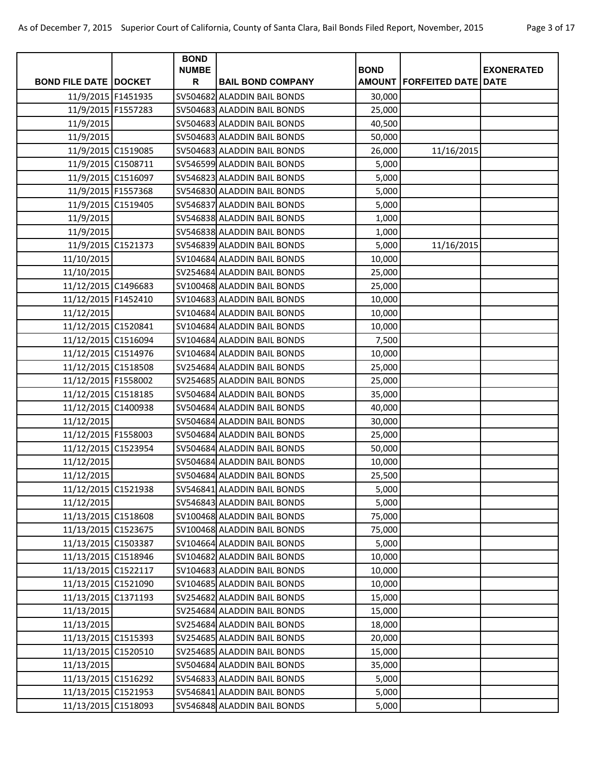| Page 3 of 17 |  |  |
|--------------|--|--|
|              |  |  |

|                              | <b>BOND</b>  |                             |             |                                       |                   |
|------------------------------|--------------|-----------------------------|-------------|---------------------------------------|-------------------|
|                              | <b>NUMBE</b> |                             | <b>BOND</b> |                                       | <b>EXONERATED</b> |
| <b>BOND FILE DATE DOCKET</b> | R            | <b>BAIL BOND COMPANY</b>    |             | <b>AMOUNT   FORFEITED DATE   DATE</b> |                   |
| 11/9/2015 F1451935           |              | SV504682 ALADDIN BAIL BONDS | 30,000      |                                       |                   |
| 11/9/2015 F1557283           |              | SV504683 ALADDIN BAIL BONDS | 25,000      |                                       |                   |
| 11/9/2015                    |              | SV504683 ALADDIN BAIL BONDS | 40,500      |                                       |                   |
| 11/9/2015                    |              | SV504683 ALADDIN BAIL BONDS | 50,000      |                                       |                   |
| 11/9/2015 C1519085           |              | SV504683 ALADDIN BAIL BONDS | 26,000      | 11/16/2015                            |                   |
| 11/9/2015 C1508711           |              | SV546599 ALADDIN BAIL BONDS | 5,000       |                                       |                   |
| 11/9/2015 C1516097           |              | SV546823 ALADDIN BAIL BONDS | 5,000       |                                       |                   |
| 11/9/2015 F1557368           |              | SV546830 ALADDIN BAIL BONDS | 5,000       |                                       |                   |
| 11/9/2015 C1519405           |              | SV546837 ALADDIN BAIL BONDS | 5,000       |                                       |                   |
| 11/9/2015                    |              | SV546838 ALADDIN BAIL BONDS | 1,000       |                                       |                   |
| 11/9/2015                    |              | SV546838 ALADDIN BAIL BONDS | 1,000       |                                       |                   |
| 11/9/2015 C1521373           |              | SV546839 ALADDIN BAIL BONDS | 5,000       | 11/16/2015                            |                   |
| 11/10/2015                   |              | SV104684 ALADDIN BAIL BONDS | 10,000      |                                       |                   |
| 11/10/2015                   |              | SV254684 ALADDIN BAIL BONDS | 25,000      |                                       |                   |
| 11/12/2015 C1496683          |              | SV100468 ALADDIN BAIL BONDS | 25,000      |                                       |                   |
| 11/12/2015 F1452410          |              | SV104683 ALADDIN BAIL BONDS | 10,000      |                                       |                   |
| 11/12/2015                   |              | SV104684 ALADDIN BAIL BONDS | 10,000      |                                       |                   |
| 11/12/2015 C1520841          |              | SV104684 ALADDIN BAIL BONDS | 10,000      |                                       |                   |
| 11/12/2015 C1516094          |              | SV104684 ALADDIN BAIL BONDS | 7,500       |                                       |                   |
| 11/12/2015 C1514976          |              | SV104684 ALADDIN BAIL BONDS | 10,000      |                                       |                   |
| 11/12/2015 C1518508          |              | SV254684 ALADDIN BAIL BONDS | 25,000      |                                       |                   |
| 11/12/2015 F1558002          |              | SV254685 ALADDIN BAIL BONDS | 25,000      |                                       |                   |
| 11/12/2015 C1518185          |              | SV504684 ALADDIN BAIL BONDS | 35,000      |                                       |                   |
| 11/12/2015 C1400938          |              | SV504684 ALADDIN BAIL BONDS | 40,000      |                                       |                   |
| 11/12/2015                   |              | SV504684 ALADDIN BAIL BONDS | 30,000      |                                       |                   |
| 11/12/2015 F1558003          |              | SV504684 ALADDIN BAIL BONDS | 25,000      |                                       |                   |
| 11/12/2015 C1523954          |              | SV504684 ALADDIN BAIL BONDS | 50,000      |                                       |                   |
| 11/12/2015                   |              | SV504684 ALADDIN BAIL BONDS | 10,000      |                                       |                   |
| 11/12/2015                   |              | SV504684 ALADDIN BAIL BONDS | 25,500      |                                       |                   |
| 11/12/2015 C1521938          |              | SV546841 ALADDIN BAIL BONDS | 5,000       |                                       |                   |
| 11/12/2015                   |              | SV546843 ALADDIN BAIL BONDS | 5,000       |                                       |                   |
| 11/13/2015 C1518608          |              | SV100468 ALADDIN BAIL BONDS | 75,000      |                                       |                   |
| 11/13/2015 C1523675          |              | SV100468 ALADDIN BAIL BONDS | 75,000      |                                       |                   |
| 11/13/2015 C1503387          |              | SV104664 ALADDIN BAIL BONDS | 5,000       |                                       |                   |
| 11/13/2015 C1518946          |              | SV104682 ALADDIN BAIL BONDS | 10,000      |                                       |                   |
| 11/13/2015 C1522117          |              | SV104683 ALADDIN BAIL BONDS | 10,000      |                                       |                   |
| 11/13/2015 C1521090          |              | SV104685 ALADDIN BAIL BONDS | 10,000      |                                       |                   |
| 11/13/2015 C1371193          |              | SV254682 ALADDIN BAIL BONDS | 15,000      |                                       |                   |
| 11/13/2015                   |              | SV254684 ALADDIN BAIL BONDS | 15,000      |                                       |                   |
| 11/13/2015                   |              | SV254684 ALADDIN BAIL BONDS | 18,000      |                                       |                   |
| 11/13/2015 C1515393          |              | SV254685 ALADDIN BAIL BONDS | 20,000      |                                       |                   |
| 11/13/2015 C1520510          |              | SV254685 ALADDIN BAIL BONDS | 15,000      |                                       |                   |
| 11/13/2015                   |              | SV504684 ALADDIN BAIL BONDS | 35,000      |                                       |                   |
| 11/13/2015 C1516292          |              | SV546833 ALADDIN BAIL BONDS | 5,000       |                                       |                   |
| 11/13/2015 C1521953          |              | SV546841 ALADDIN BAIL BONDS | 5,000       |                                       |                   |
| 11/13/2015 C1518093          |              | SV546848 ALADDIN BAIL BONDS | 5,000       |                                       |                   |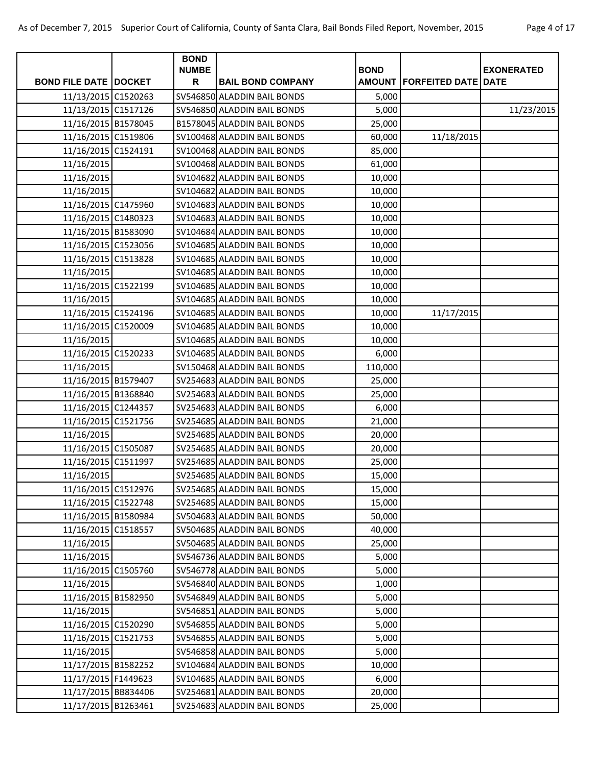| Page 4 of 17 |  |  |
|--------------|--|--|
|--------------|--|--|

| <b>EXONERATED</b><br><b>BOND FILE DATE DOCKET</b><br>R<br><b>BAIL BOND COMPANY</b><br>AMOUNT   FORFEITED DATE   DATE<br>11/13/2015 C1520263<br>SV546850 ALADDIN BAIL BONDS<br>5,000<br>11/13/2015 C1517126<br>SV546850 ALADDIN BAIL BONDS<br>5,000<br>11/23/2015<br>11/16/2015 B1578045<br>B1578045 ALADDIN BAIL BONDS<br>25,000<br>11/16/2015 C1519806<br>SV100468 ALADDIN BAIL BONDS<br>60,000<br>11/18/2015<br>11/16/2015 C1524191<br>SV100468 ALADDIN BAIL BONDS<br>85,000<br>11/16/2015<br>SV100468 ALADDIN BAIL BONDS<br>61,000<br>11/16/2015<br>SV104682 ALADDIN BAIL BONDS<br>10,000<br>11/16/2015<br>SV104682 ALADDIN BAIL BONDS<br>10,000<br>11/16/2015 C1475960<br>SV104683 ALADDIN BAIL BONDS<br>10,000<br>11/16/2015 C1480323<br>SV104683 ALADDIN BAIL BONDS<br>10,000<br>11/16/2015 B1583090<br>SV104684 ALADDIN BAIL BONDS<br>10,000<br>11/16/2015 C1523056<br>SV104685 ALADDIN BAIL BONDS<br>10,000<br>11/16/2015 C1513828<br>SV104685 ALADDIN BAIL BONDS<br>10,000<br>11/16/2015<br>SV104685 ALADDIN BAIL BONDS<br>10,000<br>11/16/2015 C1522199<br>SV104685 ALADDIN BAIL BONDS<br>10,000<br>11/16/2015<br>SV104685 ALADDIN BAIL BONDS<br>10,000<br>11/16/2015 C1524196<br>SV104685 ALADDIN BAIL BONDS<br>10,000<br>11/17/2015<br>11/16/2015 C1520009<br>SV104685 ALADDIN BAIL BONDS<br>10,000<br>11/16/2015<br>SV104685 ALADDIN BAIL BONDS<br>10,000<br>11/16/2015 C1520233<br>SV104685 ALADDIN BAIL BONDS<br>6,000<br>11/16/2015<br>SV150468 ALADDIN BAIL BONDS<br>110,000<br>11/16/2015 B1579407<br>SV254683 ALADDIN BAIL BONDS<br>25,000<br>11/16/2015 B1368840<br>SV254683 ALADDIN BAIL BONDS<br>25,000<br>11/16/2015 C1244357<br>SV254683 ALADDIN BAIL BONDS<br>6,000<br>11/16/2015 C1521756<br>SV254685 ALADDIN BAIL BONDS<br>21,000<br>11/16/2015<br>SV254685 ALADDIN BAIL BONDS<br>20,000<br>11/16/2015 C1505087<br>SV254685 ALADDIN BAIL BONDS<br>20,000<br>11/16/2015 C1511997<br>SV254685 ALADDIN BAIL BONDS<br>25,000<br>11/16/2015<br>SV254685 ALADDIN BAIL BONDS<br>15,000<br>11/16/2015 C1512976<br>SV254685 ALADDIN BAIL BONDS<br>15,000<br>11/16/2015 C1522748<br>SV254685 ALADDIN BAIL BONDS<br>15,000<br>11/16/2015 B1580984<br>SV504683 ALADDIN BAIL BONDS<br>50,000<br>11/16/2015 C1518557<br>SV504685 ALADDIN BAIL BONDS<br>40,000<br>11/16/2015<br>SV504685 ALADDIN BAIL BONDS<br>25,000<br>11/16/2015<br>SV546736 ALADDIN BAIL BONDS<br>5,000<br>11/16/2015 C1505760<br>SV546778 ALADDIN BAIL BONDS<br>5,000 |            | <b>BOND</b>  |             |  |
|--------------------------------------------------------------------------------------------------------------------------------------------------------------------------------------------------------------------------------------------------------------------------------------------------------------------------------------------------------------------------------------------------------------------------------------------------------------------------------------------------------------------------------------------------------------------------------------------------------------------------------------------------------------------------------------------------------------------------------------------------------------------------------------------------------------------------------------------------------------------------------------------------------------------------------------------------------------------------------------------------------------------------------------------------------------------------------------------------------------------------------------------------------------------------------------------------------------------------------------------------------------------------------------------------------------------------------------------------------------------------------------------------------------------------------------------------------------------------------------------------------------------------------------------------------------------------------------------------------------------------------------------------------------------------------------------------------------------------------------------------------------------------------------------------------------------------------------------------------------------------------------------------------------------------------------------------------------------------------------------------------------------------------------------------------------------------------------------------------------------------------------------------------------------------------------------------------------------------------------------------------------------------------------------------------------------------------------------------------------------------------------------------------------------------------------------------------|------------|--------------|-------------|--|
|                                                                                                                                                                                                                                                                                                                                                                                                                                                                                                                                                                                                                                                                                                                                                                                                                                                                                                                                                                                                                                                                                                                                                                                                                                                                                                                                                                                                                                                                                                                                                                                                                                                                                                                                                                                                                                                                                                                                                                                                                                                                                                                                                                                                                                                                                                                                                                                                                                                        |            | <b>NUMBE</b> | <b>BOND</b> |  |
|                                                                                                                                                                                                                                                                                                                                                                                                                                                                                                                                                                                                                                                                                                                                                                                                                                                                                                                                                                                                                                                                                                                                                                                                                                                                                                                                                                                                                                                                                                                                                                                                                                                                                                                                                                                                                                                                                                                                                                                                                                                                                                                                                                                                                                                                                                                                                                                                                                                        |            |              |             |  |
|                                                                                                                                                                                                                                                                                                                                                                                                                                                                                                                                                                                                                                                                                                                                                                                                                                                                                                                                                                                                                                                                                                                                                                                                                                                                                                                                                                                                                                                                                                                                                                                                                                                                                                                                                                                                                                                                                                                                                                                                                                                                                                                                                                                                                                                                                                                                                                                                                                                        |            |              |             |  |
|                                                                                                                                                                                                                                                                                                                                                                                                                                                                                                                                                                                                                                                                                                                                                                                                                                                                                                                                                                                                                                                                                                                                                                                                                                                                                                                                                                                                                                                                                                                                                                                                                                                                                                                                                                                                                                                                                                                                                                                                                                                                                                                                                                                                                                                                                                                                                                                                                                                        |            |              |             |  |
|                                                                                                                                                                                                                                                                                                                                                                                                                                                                                                                                                                                                                                                                                                                                                                                                                                                                                                                                                                                                                                                                                                                                                                                                                                                                                                                                                                                                                                                                                                                                                                                                                                                                                                                                                                                                                                                                                                                                                                                                                                                                                                                                                                                                                                                                                                                                                                                                                                                        |            |              |             |  |
|                                                                                                                                                                                                                                                                                                                                                                                                                                                                                                                                                                                                                                                                                                                                                                                                                                                                                                                                                                                                                                                                                                                                                                                                                                                                                                                                                                                                                                                                                                                                                                                                                                                                                                                                                                                                                                                                                                                                                                                                                                                                                                                                                                                                                                                                                                                                                                                                                                                        |            |              |             |  |
|                                                                                                                                                                                                                                                                                                                                                                                                                                                                                                                                                                                                                                                                                                                                                                                                                                                                                                                                                                                                                                                                                                                                                                                                                                                                                                                                                                                                                                                                                                                                                                                                                                                                                                                                                                                                                                                                                                                                                                                                                                                                                                                                                                                                                                                                                                                                                                                                                                                        |            |              |             |  |
|                                                                                                                                                                                                                                                                                                                                                                                                                                                                                                                                                                                                                                                                                                                                                                                                                                                                                                                                                                                                                                                                                                                                                                                                                                                                                                                                                                                                                                                                                                                                                                                                                                                                                                                                                                                                                                                                                                                                                                                                                                                                                                                                                                                                                                                                                                                                                                                                                                                        |            |              |             |  |
|                                                                                                                                                                                                                                                                                                                                                                                                                                                                                                                                                                                                                                                                                                                                                                                                                                                                                                                                                                                                                                                                                                                                                                                                                                                                                                                                                                                                                                                                                                                                                                                                                                                                                                                                                                                                                                                                                                                                                                                                                                                                                                                                                                                                                                                                                                                                                                                                                                                        |            |              |             |  |
|                                                                                                                                                                                                                                                                                                                                                                                                                                                                                                                                                                                                                                                                                                                                                                                                                                                                                                                                                                                                                                                                                                                                                                                                                                                                                                                                                                                                                                                                                                                                                                                                                                                                                                                                                                                                                                                                                                                                                                                                                                                                                                                                                                                                                                                                                                                                                                                                                                                        |            |              |             |  |
|                                                                                                                                                                                                                                                                                                                                                                                                                                                                                                                                                                                                                                                                                                                                                                                                                                                                                                                                                                                                                                                                                                                                                                                                                                                                                                                                                                                                                                                                                                                                                                                                                                                                                                                                                                                                                                                                                                                                                                                                                                                                                                                                                                                                                                                                                                                                                                                                                                                        |            |              |             |  |
|                                                                                                                                                                                                                                                                                                                                                                                                                                                                                                                                                                                                                                                                                                                                                                                                                                                                                                                                                                                                                                                                                                                                                                                                                                                                                                                                                                                                                                                                                                                                                                                                                                                                                                                                                                                                                                                                                                                                                                                                                                                                                                                                                                                                                                                                                                                                                                                                                                                        |            |              |             |  |
|                                                                                                                                                                                                                                                                                                                                                                                                                                                                                                                                                                                                                                                                                                                                                                                                                                                                                                                                                                                                                                                                                                                                                                                                                                                                                                                                                                                                                                                                                                                                                                                                                                                                                                                                                                                                                                                                                                                                                                                                                                                                                                                                                                                                                                                                                                                                                                                                                                                        |            |              |             |  |
|                                                                                                                                                                                                                                                                                                                                                                                                                                                                                                                                                                                                                                                                                                                                                                                                                                                                                                                                                                                                                                                                                                                                                                                                                                                                                                                                                                                                                                                                                                                                                                                                                                                                                                                                                                                                                                                                                                                                                                                                                                                                                                                                                                                                                                                                                                                                                                                                                                                        |            |              |             |  |
|                                                                                                                                                                                                                                                                                                                                                                                                                                                                                                                                                                                                                                                                                                                                                                                                                                                                                                                                                                                                                                                                                                                                                                                                                                                                                                                                                                                                                                                                                                                                                                                                                                                                                                                                                                                                                                                                                                                                                                                                                                                                                                                                                                                                                                                                                                                                                                                                                                                        |            |              |             |  |
|                                                                                                                                                                                                                                                                                                                                                                                                                                                                                                                                                                                                                                                                                                                                                                                                                                                                                                                                                                                                                                                                                                                                                                                                                                                                                                                                                                                                                                                                                                                                                                                                                                                                                                                                                                                                                                                                                                                                                                                                                                                                                                                                                                                                                                                                                                                                                                                                                                                        |            |              |             |  |
|                                                                                                                                                                                                                                                                                                                                                                                                                                                                                                                                                                                                                                                                                                                                                                                                                                                                                                                                                                                                                                                                                                                                                                                                                                                                                                                                                                                                                                                                                                                                                                                                                                                                                                                                                                                                                                                                                                                                                                                                                                                                                                                                                                                                                                                                                                                                                                                                                                                        |            |              |             |  |
|                                                                                                                                                                                                                                                                                                                                                                                                                                                                                                                                                                                                                                                                                                                                                                                                                                                                                                                                                                                                                                                                                                                                                                                                                                                                                                                                                                                                                                                                                                                                                                                                                                                                                                                                                                                                                                                                                                                                                                                                                                                                                                                                                                                                                                                                                                                                                                                                                                                        |            |              |             |  |
|                                                                                                                                                                                                                                                                                                                                                                                                                                                                                                                                                                                                                                                                                                                                                                                                                                                                                                                                                                                                                                                                                                                                                                                                                                                                                                                                                                                                                                                                                                                                                                                                                                                                                                                                                                                                                                                                                                                                                                                                                                                                                                                                                                                                                                                                                                                                                                                                                                                        |            |              |             |  |
|                                                                                                                                                                                                                                                                                                                                                                                                                                                                                                                                                                                                                                                                                                                                                                                                                                                                                                                                                                                                                                                                                                                                                                                                                                                                                                                                                                                                                                                                                                                                                                                                                                                                                                                                                                                                                                                                                                                                                                                                                                                                                                                                                                                                                                                                                                                                                                                                                                                        |            |              |             |  |
|                                                                                                                                                                                                                                                                                                                                                                                                                                                                                                                                                                                                                                                                                                                                                                                                                                                                                                                                                                                                                                                                                                                                                                                                                                                                                                                                                                                                                                                                                                                                                                                                                                                                                                                                                                                                                                                                                                                                                                                                                                                                                                                                                                                                                                                                                                                                                                                                                                                        |            |              |             |  |
|                                                                                                                                                                                                                                                                                                                                                                                                                                                                                                                                                                                                                                                                                                                                                                                                                                                                                                                                                                                                                                                                                                                                                                                                                                                                                                                                                                                                                                                                                                                                                                                                                                                                                                                                                                                                                                                                                                                                                                                                                                                                                                                                                                                                                                                                                                                                                                                                                                                        |            |              |             |  |
|                                                                                                                                                                                                                                                                                                                                                                                                                                                                                                                                                                                                                                                                                                                                                                                                                                                                                                                                                                                                                                                                                                                                                                                                                                                                                                                                                                                                                                                                                                                                                                                                                                                                                                                                                                                                                                                                                                                                                                                                                                                                                                                                                                                                                                                                                                                                                                                                                                                        |            |              |             |  |
|                                                                                                                                                                                                                                                                                                                                                                                                                                                                                                                                                                                                                                                                                                                                                                                                                                                                                                                                                                                                                                                                                                                                                                                                                                                                                                                                                                                                                                                                                                                                                                                                                                                                                                                                                                                                                                                                                                                                                                                                                                                                                                                                                                                                                                                                                                                                                                                                                                                        |            |              |             |  |
|                                                                                                                                                                                                                                                                                                                                                                                                                                                                                                                                                                                                                                                                                                                                                                                                                                                                                                                                                                                                                                                                                                                                                                                                                                                                                                                                                                                                                                                                                                                                                                                                                                                                                                                                                                                                                                                                                                                                                                                                                                                                                                                                                                                                                                                                                                                                                                                                                                                        |            |              |             |  |
|                                                                                                                                                                                                                                                                                                                                                                                                                                                                                                                                                                                                                                                                                                                                                                                                                                                                                                                                                                                                                                                                                                                                                                                                                                                                                                                                                                                                                                                                                                                                                                                                                                                                                                                                                                                                                                                                                                                                                                                                                                                                                                                                                                                                                                                                                                                                                                                                                                                        |            |              |             |  |
|                                                                                                                                                                                                                                                                                                                                                                                                                                                                                                                                                                                                                                                                                                                                                                                                                                                                                                                                                                                                                                                                                                                                                                                                                                                                                                                                                                                                                                                                                                                                                                                                                                                                                                                                                                                                                                                                                                                                                                                                                                                                                                                                                                                                                                                                                                                                                                                                                                                        |            |              |             |  |
|                                                                                                                                                                                                                                                                                                                                                                                                                                                                                                                                                                                                                                                                                                                                                                                                                                                                                                                                                                                                                                                                                                                                                                                                                                                                                                                                                                                                                                                                                                                                                                                                                                                                                                                                                                                                                                                                                                                                                                                                                                                                                                                                                                                                                                                                                                                                                                                                                                                        |            |              |             |  |
|                                                                                                                                                                                                                                                                                                                                                                                                                                                                                                                                                                                                                                                                                                                                                                                                                                                                                                                                                                                                                                                                                                                                                                                                                                                                                                                                                                                                                                                                                                                                                                                                                                                                                                                                                                                                                                                                                                                                                                                                                                                                                                                                                                                                                                                                                                                                                                                                                                                        |            |              |             |  |
|                                                                                                                                                                                                                                                                                                                                                                                                                                                                                                                                                                                                                                                                                                                                                                                                                                                                                                                                                                                                                                                                                                                                                                                                                                                                                                                                                                                                                                                                                                                                                                                                                                                                                                                                                                                                                                                                                                                                                                                                                                                                                                                                                                                                                                                                                                                                                                                                                                                        |            |              |             |  |
|                                                                                                                                                                                                                                                                                                                                                                                                                                                                                                                                                                                                                                                                                                                                                                                                                                                                                                                                                                                                                                                                                                                                                                                                                                                                                                                                                                                                                                                                                                                                                                                                                                                                                                                                                                                                                                                                                                                                                                                                                                                                                                                                                                                                                                                                                                                                                                                                                                                        |            |              |             |  |
|                                                                                                                                                                                                                                                                                                                                                                                                                                                                                                                                                                                                                                                                                                                                                                                                                                                                                                                                                                                                                                                                                                                                                                                                                                                                                                                                                                                                                                                                                                                                                                                                                                                                                                                                                                                                                                                                                                                                                                                                                                                                                                                                                                                                                                                                                                                                                                                                                                                        |            |              |             |  |
|                                                                                                                                                                                                                                                                                                                                                                                                                                                                                                                                                                                                                                                                                                                                                                                                                                                                                                                                                                                                                                                                                                                                                                                                                                                                                                                                                                                                                                                                                                                                                                                                                                                                                                                                                                                                                                                                                                                                                                                                                                                                                                                                                                                                                                                                                                                                                                                                                                                        |            |              |             |  |
|                                                                                                                                                                                                                                                                                                                                                                                                                                                                                                                                                                                                                                                                                                                                                                                                                                                                                                                                                                                                                                                                                                                                                                                                                                                                                                                                                                                                                                                                                                                                                                                                                                                                                                                                                                                                                                                                                                                                                                                                                                                                                                                                                                                                                                                                                                                                                                                                                                                        |            |              |             |  |
|                                                                                                                                                                                                                                                                                                                                                                                                                                                                                                                                                                                                                                                                                                                                                                                                                                                                                                                                                                                                                                                                                                                                                                                                                                                                                                                                                                                                                                                                                                                                                                                                                                                                                                                                                                                                                                                                                                                                                                                                                                                                                                                                                                                                                                                                                                                                                                                                                                                        |            |              |             |  |
|                                                                                                                                                                                                                                                                                                                                                                                                                                                                                                                                                                                                                                                                                                                                                                                                                                                                                                                                                                                                                                                                                                                                                                                                                                                                                                                                                                                                                                                                                                                                                                                                                                                                                                                                                                                                                                                                                                                                                                                                                                                                                                                                                                                                                                                                                                                                                                                                                                                        |            |              |             |  |
|                                                                                                                                                                                                                                                                                                                                                                                                                                                                                                                                                                                                                                                                                                                                                                                                                                                                                                                                                                                                                                                                                                                                                                                                                                                                                                                                                                                                                                                                                                                                                                                                                                                                                                                                                                                                                                                                                                                                                                                                                                                                                                                                                                                                                                                                                                                                                                                                                                                        |            |              |             |  |
|                                                                                                                                                                                                                                                                                                                                                                                                                                                                                                                                                                                                                                                                                                                                                                                                                                                                                                                                                                                                                                                                                                                                                                                                                                                                                                                                                                                                                                                                                                                                                                                                                                                                                                                                                                                                                                                                                                                                                                                                                                                                                                                                                                                                                                                                                                                                                                                                                                                        |            |              |             |  |
| SV546840 ALADDIN BAIL BONDS                                                                                                                                                                                                                                                                                                                                                                                                                                                                                                                                                                                                                                                                                                                                                                                                                                                                                                                                                                                                                                                                                                                                                                                                                                                                                                                                                                                                                                                                                                                                                                                                                                                                                                                                                                                                                                                                                                                                                                                                                                                                                                                                                                                                                                                                                                                                                                                                                            | 11/16/2015 |              | 1,000       |  |
| 11/16/2015 B1582950<br>SV546849 ALADDIN BAIL BONDS<br>5,000                                                                                                                                                                                                                                                                                                                                                                                                                                                                                                                                                                                                                                                                                                                                                                                                                                                                                                                                                                                                                                                                                                                                                                                                                                                                                                                                                                                                                                                                                                                                                                                                                                                                                                                                                                                                                                                                                                                                                                                                                                                                                                                                                                                                                                                                                                                                                                                            |            |              |             |  |
| 11/16/2015<br>SV546851 ALADDIN BAIL BONDS<br>5,000                                                                                                                                                                                                                                                                                                                                                                                                                                                                                                                                                                                                                                                                                                                                                                                                                                                                                                                                                                                                                                                                                                                                                                                                                                                                                                                                                                                                                                                                                                                                                                                                                                                                                                                                                                                                                                                                                                                                                                                                                                                                                                                                                                                                                                                                                                                                                                                                     |            |              |             |  |
| 11/16/2015 C1520290<br>SV546855 ALADDIN BAIL BONDS<br>5,000                                                                                                                                                                                                                                                                                                                                                                                                                                                                                                                                                                                                                                                                                                                                                                                                                                                                                                                                                                                                                                                                                                                                                                                                                                                                                                                                                                                                                                                                                                                                                                                                                                                                                                                                                                                                                                                                                                                                                                                                                                                                                                                                                                                                                                                                                                                                                                                            |            |              |             |  |
| 11/16/2015 C1521753<br>SV546855 ALADDIN BAIL BONDS<br>5,000                                                                                                                                                                                                                                                                                                                                                                                                                                                                                                                                                                                                                                                                                                                                                                                                                                                                                                                                                                                                                                                                                                                                                                                                                                                                                                                                                                                                                                                                                                                                                                                                                                                                                                                                                                                                                                                                                                                                                                                                                                                                                                                                                                                                                                                                                                                                                                                            |            |              |             |  |
| 11/16/2015<br>SV546858 ALADDIN BAIL BONDS<br>5,000                                                                                                                                                                                                                                                                                                                                                                                                                                                                                                                                                                                                                                                                                                                                                                                                                                                                                                                                                                                                                                                                                                                                                                                                                                                                                                                                                                                                                                                                                                                                                                                                                                                                                                                                                                                                                                                                                                                                                                                                                                                                                                                                                                                                                                                                                                                                                                                                     |            |              |             |  |
| 11/17/2015 B1582252<br>SV104684 ALADDIN BAIL BONDS<br>10,000                                                                                                                                                                                                                                                                                                                                                                                                                                                                                                                                                                                                                                                                                                                                                                                                                                                                                                                                                                                                                                                                                                                                                                                                                                                                                                                                                                                                                                                                                                                                                                                                                                                                                                                                                                                                                                                                                                                                                                                                                                                                                                                                                                                                                                                                                                                                                                                           |            |              |             |  |
| 11/17/2015 F1449623<br>SV104685 ALADDIN BAIL BONDS<br>6,000                                                                                                                                                                                                                                                                                                                                                                                                                                                                                                                                                                                                                                                                                                                                                                                                                                                                                                                                                                                                                                                                                                                                                                                                                                                                                                                                                                                                                                                                                                                                                                                                                                                                                                                                                                                                                                                                                                                                                                                                                                                                                                                                                                                                                                                                                                                                                                                            |            |              |             |  |
| 11/17/2015 BB834406<br>SV254681 ALADDIN BAIL BONDS<br>20,000                                                                                                                                                                                                                                                                                                                                                                                                                                                                                                                                                                                                                                                                                                                                                                                                                                                                                                                                                                                                                                                                                                                                                                                                                                                                                                                                                                                                                                                                                                                                                                                                                                                                                                                                                                                                                                                                                                                                                                                                                                                                                                                                                                                                                                                                                                                                                                                           |            |              |             |  |
| 11/17/2015 B1263461<br>SV254683 ALADDIN BAIL BONDS<br>25,000                                                                                                                                                                                                                                                                                                                                                                                                                                                                                                                                                                                                                                                                                                                                                                                                                                                                                                                                                                                                                                                                                                                                                                                                                                                                                                                                                                                                                                                                                                                                                                                                                                                                                                                                                                                                                                                                                                                                                                                                                                                                                                                                                                                                                                                                                                                                                                                           |            |              |             |  |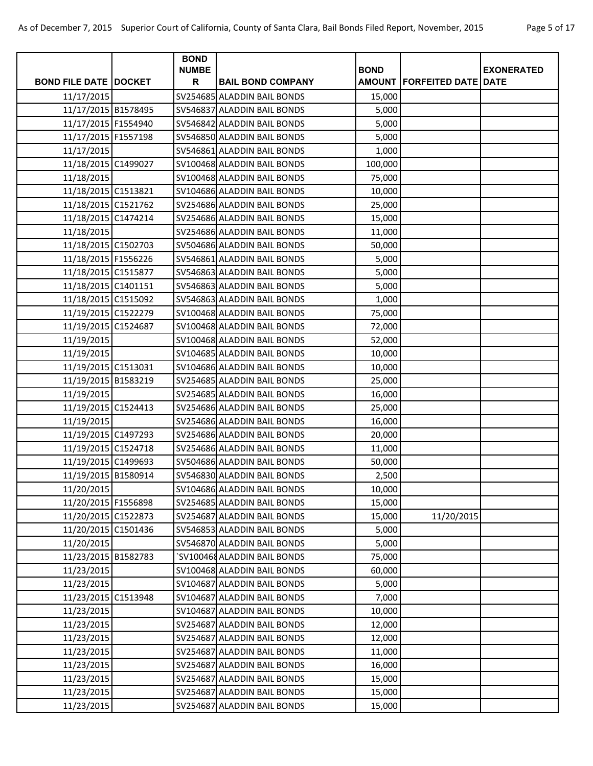| Page 5 of 17 |  |  |
|--------------|--|--|
|--------------|--|--|

| <b>BOND FILE DATE DOCKET</b><br>R<br><b>AMOUNT   FORFEITED DATE   DATE</b><br><b>BAIL BOND COMPANY</b><br>11/17/2015<br>SV254685 ALADDIN BAIL BONDS<br>15,000<br>11/17/2015 B1578495<br>SV546837 ALADDIN BAIL BONDS<br>5,000<br>11/17/2015 F1554940<br>SV546842 ALADDIN BAIL BONDS<br>5,000<br>11/17/2015 F1557198<br>SV546850 ALADDIN BAIL BONDS<br>5,000<br>11/17/2015<br>SV546861 ALADDIN BAIL BONDS<br>1,000<br>11/18/2015 C1499027<br>SV100468 ALADDIN BAIL BONDS<br>100,000<br>11/18/2015<br>SV100468 ALADDIN BAIL BONDS<br>75,000<br>11/18/2015 C1513821<br>SV104686 ALADDIN BAIL BONDS<br>10,000<br>11/18/2015 C1521762<br>SV254686 ALADDIN BAIL BONDS<br>25,000<br>11/18/2015 C1474214<br>SV254686 ALADDIN BAIL BONDS<br>15,000<br>11/18/2015<br>SV254686 ALADDIN BAIL BONDS<br>11,000<br>11/18/2015 C1502703<br>SV504686 ALADDIN BAIL BONDS<br>50,000<br>11/18/2015 F1556226<br>SV546861 ALADDIN BAIL BONDS<br>5,000<br>11/18/2015 C1515877<br>SV546863 ALADDIN BAIL BONDS<br>5,000<br>11/18/2015 C1401151<br>SV546863 ALADDIN BAIL BONDS<br>5,000<br>11/18/2015 C1515092<br>SV546863 ALADDIN BAIL BONDS<br>1,000<br>11/19/2015 C1522279<br>SV100468 ALADDIN BAIL BONDS<br>75,000<br>11/19/2015 C1524687<br>SV100468 ALADDIN BAIL BONDS<br>72,000<br>11/19/2015<br>SV100468 ALADDIN BAIL BONDS<br>52,000<br>11/19/2015<br>SV104685 ALADDIN BAIL BONDS<br>10,000<br>11/19/2015 C1513031<br>SV104686 ALADDIN BAIL BONDS<br>10,000<br>11/19/2015 B1583219<br>SV254685 ALADDIN BAIL BONDS<br>25,000<br>11/19/2015<br>SV254685 ALADDIN BAIL BONDS<br>16,000<br>11/19/2015 C1524413<br>SV254686 ALADDIN BAIL BONDS<br>25,000<br>11/19/2015<br>SV254686 ALADDIN BAIL BONDS<br>16,000<br>11/19/2015 C1497293<br>SV254686 ALADDIN BAIL BONDS<br>20,000<br>11/19/2015 C1524718<br>SV254686 ALADDIN BAIL BONDS<br>11,000<br>11/19/2015 C1499693<br>SV504686 ALADDIN BAIL BONDS<br>50,000<br>11/19/2015 B1580914<br>SV546830 ALADDIN BAIL BONDS<br>2,500<br>11/20/2015<br>SV104686 ALADDIN BAIL BONDS<br>10,000<br>SV254685 ALADDIN BAIL BONDS<br>11/20/2015 F1556898<br>15,000<br>11/20/2015 C1522873<br>SV254687 ALADDIN BAIL BONDS<br>11/20/2015<br>15,000<br>11/20/2015 C1501436<br>SV546853 ALADDIN BAIL BONDS<br>5,000<br>11/20/2015<br>SV546870 ALADDIN BAIL BONDS<br>5,000<br>11/23/2015 B1582783<br>`SV100468 ALADDIN BAIL BONDS<br>75,000<br>11/23/2015<br>SV100468 ALADDIN BAIL BONDS<br>60,000<br>11/23/2015<br>SV104687 ALADDIN BAIL BONDS<br>5,000<br>11/23/2015 C1513948<br>SV104687 ALADDIN BAIL BONDS<br>7,000<br>11/23/2015<br>SV104687 ALADDIN BAIL BONDS<br>10,000<br>11/23/2015<br>SV254687 ALADDIN BAIL BONDS<br>12,000<br>11/23/2015<br>SV254687 ALADDIN BAIL BONDS<br>12,000<br>11/23/2015<br>SV254687 ALADDIN BAIL BONDS<br>11,000<br>11/23/2015<br>SV254687 ALADDIN BAIL BONDS<br>16,000<br>11/23/2015<br>SV254687 ALADDIN BAIL BONDS<br>15,000<br>11/23/2015<br>SV254687 ALADDIN BAIL BONDS<br>15,000<br>SV254687 ALADDIN BAIL BONDS |            | <b>BOND</b>  |             |                   |
|---------------------------------------------------------------------------------------------------------------------------------------------------------------------------------------------------------------------------------------------------------------------------------------------------------------------------------------------------------------------------------------------------------------------------------------------------------------------------------------------------------------------------------------------------------------------------------------------------------------------------------------------------------------------------------------------------------------------------------------------------------------------------------------------------------------------------------------------------------------------------------------------------------------------------------------------------------------------------------------------------------------------------------------------------------------------------------------------------------------------------------------------------------------------------------------------------------------------------------------------------------------------------------------------------------------------------------------------------------------------------------------------------------------------------------------------------------------------------------------------------------------------------------------------------------------------------------------------------------------------------------------------------------------------------------------------------------------------------------------------------------------------------------------------------------------------------------------------------------------------------------------------------------------------------------------------------------------------------------------------------------------------------------------------------------------------------------------------------------------------------------------------------------------------------------------------------------------------------------------------------------------------------------------------------------------------------------------------------------------------------------------------------------------------------------------------------------------------------------------------------------------------------------------------------------------------------------------------------------------------------------------------------------------------------------------------------------------------------------------------------------------------------------------------------------------------------------------------------------------------------------------------------------------------------------------------------------------|------------|--------------|-------------|-------------------|
|                                                                                                                                                                                                                                                                                                                                                                                                                                                                                                                                                                                                                                                                                                                                                                                                                                                                                                                                                                                                                                                                                                                                                                                                                                                                                                                                                                                                                                                                                                                                                                                                                                                                                                                                                                                                                                                                                                                                                                                                                                                                                                                                                                                                                                                                                                                                                                                                                                                                                                                                                                                                                                                                                                                                                                                                                                                                                                                                                               |            | <b>NUMBE</b> | <b>BOND</b> | <b>EXONERATED</b> |
|                                                                                                                                                                                                                                                                                                                                                                                                                                                                                                                                                                                                                                                                                                                                                                                                                                                                                                                                                                                                                                                                                                                                                                                                                                                                                                                                                                                                                                                                                                                                                                                                                                                                                                                                                                                                                                                                                                                                                                                                                                                                                                                                                                                                                                                                                                                                                                                                                                                                                                                                                                                                                                                                                                                                                                                                                                                                                                                                                               |            |              |             |                   |
|                                                                                                                                                                                                                                                                                                                                                                                                                                                                                                                                                                                                                                                                                                                                                                                                                                                                                                                                                                                                                                                                                                                                                                                                                                                                                                                                                                                                                                                                                                                                                                                                                                                                                                                                                                                                                                                                                                                                                                                                                                                                                                                                                                                                                                                                                                                                                                                                                                                                                                                                                                                                                                                                                                                                                                                                                                                                                                                                                               |            |              |             |                   |
|                                                                                                                                                                                                                                                                                                                                                                                                                                                                                                                                                                                                                                                                                                                                                                                                                                                                                                                                                                                                                                                                                                                                                                                                                                                                                                                                                                                                                                                                                                                                                                                                                                                                                                                                                                                                                                                                                                                                                                                                                                                                                                                                                                                                                                                                                                                                                                                                                                                                                                                                                                                                                                                                                                                                                                                                                                                                                                                                                               |            |              |             |                   |
|                                                                                                                                                                                                                                                                                                                                                                                                                                                                                                                                                                                                                                                                                                                                                                                                                                                                                                                                                                                                                                                                                                                                                                                                                                                                                                                                                                                                                                                                                                                                                                                                                                                                                                                                                                                                                                                                                                                                                                                                                                                                                                                                                                                                                                                                                                                                                                                                                                                                                                                                                                                                                                                                                                                                                                                                                                                                                                                                                               |            |              |             |                   |
|                                                                                                                                                                                                                                                                                                                                                                                                                                                                                                                                                                                                                                                                                                                                                                                                                                                                                                                                                                                                                                                                                                                                                                                                                                                                                                                                                                                                                                                                                                                                                                                                                                                                                                                                                                                                                                                                                                                                                                                                                                                                                                                                                                                                                                                                                                                                                                                                                                                                                                                                                                                                                                                                                                                                                                                                                                                                                                                                                               |            |              |             |                   |
|                                                                                                                                                                                                                                                                                                                                                                                                                                                                                                                                                                                                                                                                                                                                                                                                                                                                                                                                                                                                                                                                                                                                                                                                                                                                                                                                                                                                                                                                                                                                                                                                                                                                                                                                                                                                                                                                                                                                                                                                                                                                                                                                                                                                                                                                                                                                                                                                                                                                                                                                                                                                                                                                                                                                                                                                                                                                                                                                                               |            |              |             |                   |
|                                                                                                                                                                                                                                                                                                                                                                                                                                                                                                                                                                                                                                                                                                                                                                                                                                                                                                                                                                                                                                                                                                                                                                                                                                                                                                                                                                                                                                                                                                                                                                                                                                                                                                                                                                                                                                                                                                                                                                                                                                                                                                                                                                                                                                                                                                                                                                                                                                                                                                                                                                                                                                                                                                                                                                                                                                                                                                                                                               |            |              |             |                   |
|                                                                                                                                                                                                                                                                                                                                                                                                                                                                                                                                                                                                                                                                                                                                                                                                                                                                                                                                                                                                                                                                                                                                                                                                                                                                                                                                                                                                                                                                                                                                                                                                                                                                                                                                                                                                                                                                                                                                                                                                                                                                                                                                                                                                                                                                                                                                                                                                                                                                                                                                                                                                                                                                                                                                                                                                                                                                                                                                                               |            |              |             |                   |
|                                                                                                                                                                                                                                                                                                                                                                                                                                                                                                                                                                                                                                                                                                                                                                                                                                                                                                                                                                                                                                                                                                                                                                                                                                                                                                                                                                                                                                                                                                                                                                                                                                                                                                                                                                                                                                                                                                                                                                                                                                                                                                                                                                                                                                                                                                                                                                                                                                                                                                                                                                                                                                                                                                                                                                                                                                                                                                                                                               |            |              |             |                   |
|                                                                                                                                                                                                                                                                                                                                                                                                                                                                                                                                                                                                                                                                                                                                                                                                                                                                                                                                                                                                                                                                                                                                                                                                                                                                                                                                                                                                                                                                                                                                                                                                                                                                                                                                                                                                                                                                                                                                                                                                                                                                                                                                                                                                                                                                                                                                                                                                                                                                                                                                                                                                                                                                                                                                                                                                                                                                                                                                                               |            |              |             |                   |
|                                                                                                                                                                                                                                                                                                                                                                                                                                                                                                                                                                                                                                                                                                                                                                                                                                                                                                                                                                                                                                                                                                                                                                                                                                                                                                                                                                                                                                                                                                                                                                                                                                                                                                                                                                                                                                                                                                                                                                                                                                                                                                                                                                                                                                                                                                                                                                                                                                                                                                                                                                                                                                                                                                                                                                                                                                                                                                                                                               |            |              |             |                   |
|                                                                                                                                                                                                                                                                                                                                                                                                                                                                                                                                                                                                                                                                                                                                                                                                                                                                                                                                                                                                                                                                                                                                                                                                                                                                                                                                                                                                                                                                                                                                                                                                                                                                                                                                                                                                                                                                                                                                                                                                                                                                                                                                                                                                                                                                                                                                                                                                                                                                                                                                                                                                                                                                                                                                                                                                                                                                                                                                                               |            |              |             |                   |
|                                                                                                                                                                                                                                                                                                                                                                                                                                                                                                                                                                                                                                                                                                                                                                                                                                                                                                                                                                                                                                                                                                                                                                                                                                                                                                                                                                                                                                                                                                                                                                                                                                                                                                                                                                                                                                                                                                                                                                                                                                                                                                                                                                                                                                                                                                                                                                                                                                                                                                                                                                                                                                                                                                                                                                                                                                                                                                                                                               |            |              |             |                   |
|                                                                                                                                                                                                                                                                                                                                                                                                                                                                                                                                                                                                                                                                                                                                                                                                                                                                                                                                                                                                                                                                                                                                                                                                                                                                                                                                                                                                                                                                                                                                                                                                                                                                                                                                                                                                                                                                                                                                                                                                                                                                                                                                                                                                                                                                                                                                                                                                                                                                                                                                                                                                                                                                                                                                                                                                                                                                                                                                                               |            |              |             |                   |
|                                                                                                                                                                                                                                                                                                                                                                                                                                                                                                                                                                                                                                                                                                                                                                                                                                                                                                                                                                                                                                                                                                                                                                                                                                                                                                                                                                                                                                                                                                                                                                                                                                                                                                                                                                                                                                                                                                                                                                                                                                                                                                                                                                                                                                                                                                                                                                                                                                                                                                                                                                                                                                                                                                                                                                                                                                                                                                                                                               |            |              |             |                   |
|                                                                                                                                                                                                                                                                                                                                                                                                                                                                                                                                                                                                                                                                                                                                                                                                                                                                                                                                                                                                                                                                                                                                                                                                                                                                                                                                                                                                                                                                                                                                                                                                                                                                                                                                                                                                                                                                                                                                                                                                                                                                                                                                                                                                                                                                                                                                                                                                                                                                                                                                                                                                                                                                                                                                                                                                                                                                                                                                                               |            |              |             |                   |
|                                                                                                                                                                                                                                                                                                                                                                                                                                                                                                                                                                                                                                                                                                                                                                                                                                                                                                                                                                                                                                                                                                                                                                                                                                                                                                                                                                                                                                                                                                                                                                                                                                                                                                                                                                                                                                                                                                                                                                                                                                                                                                                                                                                                                                                                                                                                                                                                                                                                                                                                                                                                                                                                                                                                                                                                                                                                                                                                                               |            |              |             |                   |
|                                                                                                                                                                                                                                                                                                                                                                                                                                                                                                                                                                                                                                                                                                                                                                                                                                                                                                                                                                                                                                                                                                                                                                                                                                                                                                                                                                                                                                                                                                                                                                                                                                                                                                                                                                                                                                                                                                                                                                                                                                                                                                                                                                                                                                                                                                                                                                                                                                                                                                                                                                                                                                                                                                                                                                                                                                                                                                                                                               |            |              |             |                   |
|                                                                                                                                                                                                                                                                                                                                                                                                                                                                                                                                                                                                                                                                                                                                                                                                                                                                                                                                                                                                                                                                                                                                                                                                                                                                                                                                                                                                                                                                                                                                                                                                                                                                                                                                                                                                                                                                                                                                                                                                                                                                                                                                                                                                                                                                                                                                                                                                                                                                                                                                                                                                                                                                                                                                                                                                                                                                                                                                                               |            |              |             |                   |
|                                                                                                                                                                                                                                                                                                                                                                                                                                                                                                                                                                                                                                                                                                                                                                                                                                                                                                                                                                                                                                                                                                                                                                                                                                                                                                                                                                                                                                                                                                                                                                                                                                                                                                                                                                                                                                                                                                                                                                                                                                                                                                                                                                                                                                                                                                                                                                                                                                                                                                                                                                                                                                                                                                                                                                                                                                                                                                                                                               |            |              |             |                   |
|                                                                                                                                                                                                                                                                                                                                                                                                                                                                                                                                                                                                                                                                                                                                                                                                                                                                                                                                                                                                                                                                                                                                                                                                                                                                                                                                                                                                                                                                                                                                                                                                                                                                                                                                                                                                                                                                                                                                                                                                                                                                                                                                                                                                                                                                                                                                                                                                                                                                                                                                                                                                                                                                                                                                                                                                                                                                                                                                                               |            |              |             |                   |
|                                                                                                                                                                                                                                                                                                                                                                                                                                                                                                                                                                                                                                                                                                                                                                                                                                                                                                                                                                                                                                                                                                                                                                                                                                                                                                                                                                                                                                                                                                                                                                                                                                                                                                                                                                                                                                                                                                                                                                                                                                                                                                                                                                                                                                                                                                                                                                                                                                                                                                                                                                                                                                                                                                                                                                                                                                                                                                                                                               |            |              |             |                   |
|                                                                                                                                                                                                                                                                                                                                                                                                                                                                                                                                                                                                                                                                                                                                                                                                                                                                                                                                                                                                                                                                                                                                                                                                                                                                                                                                                                                                                                                                                                                                                                                                                                                                                                                                                                                                                                                                                                                                                                                                                                                                                                                                                                                                                                                                                                                                                                                                                                                                                                                                                                                                                                                                                                                                                                                                                                                                                                                                                               |            |              |             |                   |
|                                                                                                                                                                                                                                                                                                                                                                                                                                                                                                                                                                                                                                                                                                                                                                                                                                                                                                                                                                                                                                                                                                                                                                                                                                                                                                                                                                                                                                                                                                                                                                                                                                                                                                                                                                                                                                                                                                                                                                                                                                                                                                                                                                                                                                                                                                                                                                                                                                                                                                                                                                                                                                                                                                                                                                                                                                                                                                                                                               |            |              |             |                   |
|                                                                                                                                                                                                                                                                                                                                                                                                                                                                                                                                                                                                                                                                                                                                                                                                                                                                                                                                                                                                                                                                                                                                                                                                                                                                                                                                                                                                                                                                                                                                                                                                                                                                                                                                                                                                                                                                                                                                                                                                                                                                                                                                                                                                                                                                                                                                                                                                                                                                                                                                                                                                                                                                                                                                                                                                                                                                                                                                                               |            |              |             |                   |
|                                                                                                                                                                                                                                                                                                                                                                                                                                                                                                                                                                                                                                                                                                                                                                                                                                                                                                                                                                                                                                                                                                                                                                                                                                                                                                                                                                                                                                                                                                                                                                                                                                                                                                                                                                                                                                                                                                                                                                                                                                                                                                                                                                                                                                                                                                                                                                                                                                                                                                                                                                                                                                                                                                                                                                                                                                                                                                                                                               |            |              |             |                   |
|                                                                                                                                                                                                                                                                                                                                                                                                                                                                                                                                                                                                                                                                                                                                                                                                                                                                                                                                                                                                                                                                                                                                                                                                                                                                                                                                                                                                                                                                                                                                                                                                                                                                                                                                                                                                                                                                                                                                                                                                                                                                                                                                                                                                                                                                                                                                                                                                                                                                                                                                                                                                                                                                                                                                                                                                                                                                                                                                                               |            |              |             |                   |
|                                                                                                                                                                                                                                                                                                                                                                                                                                                                                                                                                                                                                                                                                                                                                                                                                                                                                                                                                                                                                                                                                                                                                                                                                                                                                                                                                                                                                                                                                                                                                                                                                                                                                                                                                                                                                                                                                                                                                                                                                                                                                                                                                                                                                                                                                                                                                                                                                                                                                                                                                                                                                                                                                                                                                                                                                                                                                                                                                               |            |              |             |                   |
|                                                                                                                                                                                                                                                                                                                                                                                                                                                                                                                                                                                                                                                                                                                                                                                                                                                                                                                                                                                                                                                                                                                                                                                                                                                                                                                                                                                                                                                                                                                                                                                                                                                                                                                                                                                                                                                                                                                                                                                                                                                                                                                                                                                                                                                                                                                                                                                                                                                                                                                                                                                                                                                                                                                                                                                                                                                                                                                                                               |            |              |             |                   |
|                                                                                                                                                                                                                                                                                                                                                                                                                                                                                                                                                                                                                                                                                                                                                                                                                                                                                                                                                                                                                                                                                                                                                                                                                                                                                                                                                                                                                                                                                                                                                                                                                                                                                                                                                                                                                                                                                                                                                                                                                                                                                                                                                                                                                                                                                                                                                                                                                                                                                                                                                                                                                                                                                                                                                                                                                                                                                                                                                               |            |              |             |                   |
|                                                                                                                                                                                                                                                                                                                                                                                                                                                                                                                                                                                                                                                                                                                                                                                                                                                                                                                                                                                                                                                                                                                                                                                                                                                                                                                                                                                                                                                                                                                                                                                                                                                                                                                                                                                                                                                                                                                                                                                                                                                                                                                                                                                                                                                                                                                                                                                                                                                                                                                                                                                                                                                                                                                                                                                                                                                                                                                                                               |            |              |             |                   |
|                                                                                                                                                                                                                                                                                                                                                                                                                                                                                                                                                                                                                                                                                                                                                                                                                                                                                                                                                                                                                                                                                                                                                                                                                                                                                                                                                                                                                                                                                                                                                                                                                                                                                                                                                                                                                                                                                                                                                                                                                                                                                                                                                                                                                                                                                                                                                                                                                                                                                                                                                                                                                                                                                                                                                                                                                                                                                                                                                               |            |              |             |                   |
|                                                                                                                                                                                                                                                                                                                                                                                                                                                                                                                                                                                                                                                                                                                                                                                                                                                                                                                                                                                                                                                                                                                                                                                                                                                                                                                                                                                                                                                                                                                                                                                                                                                                                                                                                                                                                                                                                                                                                                                                                                                                                                                                                                                                                                                                                                                                                                                                                                                                                                                                                                                                                                                                                                                                                                                                                                                                                                                                                               |            |              |             |                   |
|                                                                                                                                                                                                                                                                                                                                                                                                                                                                                                                                                                                                                                                                                                                                                                                                                                                                                                                                                                                                                                                                                                                                                                                                                                                                                                                                                                                                                                                                                                                                                                                                                                                                                                                                                                                                                                                                                                                                                                                                                                                                                                                                                                                                                                                                                                                                                                                                                                                                                                                                                                                                                                                                                                                                                                                                                                                                                                                                                               |            |              |             |                   |
|                                                                                                                                                                                                                                                                                                                                                                                                                                                                                                                                                                                                                                                                                                                                                                                                                                                                                                                                                                                                                                                                                                                                                                                                                                                                                                                                                                                                                                                                                                                                                                                                                                                                                                                                                                                                                                                                                                                                                                                                                                                                                                                                                                                                                                                                                                                                                                                                                                                                                                                                                                                                                                                                                                                                                                                                                                                                                                                                                               |            |              |             |                   |
|                                                                                                                                                                                                                                                                                                                                                                                                                                                                                                                                                                                                                                                                                                                                                                                                                                                                                                                                                                                                                                                                                                                                                                                                                                                                                                                                                                                                                                                                                                                                                                                                                                                                                                                                                                                                                                                                                                                                                                                                                                                                                                                                                                                                                                                                                                                                                                                                                                                                                                                                                                                                                                                                                                                                                                                                                                                                                                                                                               |            |              |             |                   |
|                                                                                                                                                                                                                                                                                                                                                                                                                                                                                                                                                                                                                                                                                                                                                                                                                                                                                                                                                                                                                                                                                                                                                                                                                                                                                                                                                                                                                                                                                                                                                                                                                                                                                                                                                                                                                                                                                                                                                                                                                                                                                                                                                                                                                                                                                                                                                                                                                                                                                                                                                                                                                                                                                                                                                                                                                                                                                                                                                               |            |              |             |                   |
|                                                                                                                                                                                                                                                                                                                                                                                                                                                                                                                                                                                                                                                                                                                                                                                                                                                                                                                                                                                                                                                                                                                                                                                                                                                                                                                                                                                                                                                                                                                                                                                                                                                                                                                                                                                                                                                                                                                                                                                                                                                                                                                                                                                                                                                                                                                                                                                                                                                                                                                                                                                                                                                                                                                                                                                                                                                                                                                                                               |            |              |             |                   |
|                                                                                                                                                                                                                                                                                                                                                                                                                                                                                                                                                                                                                                                                                                                                                                                                                                                                                                                                                                                                                                                                                                                                                                                                                                                                                                                                                                                                                                                                                                                                                                                                                                                                                                                                                                                                                                                                                                                                                                                                                                                                                                                                                                                                                                                                                                                                                                                                                                                                                                                                                                                                                                                                                                                                                                                                                                                                                                                                                               |            |              |             |                   |
|                                                                                                                                                                                                                                                                                                                                                                                                                                                                                                                                                                                                                                                                                                                                                                                                                                                                                                                                                                                                                                                                                                                                                                                                                                                                                                                                                                                                                                                                                                                                                                                                                                                                                                                                                                                                                                                                                                                                                                                                                                                                                                                                                                                                                                                                                                                                                                                                                                                                                                                                                                                                                                                                                                                                                                                                                                                                                                                                                               |            |              |             |                   |
|                                                                                                                                                                                                                                                                                                                                                                                                                                                                                                                                                                                                                                                                                                                                                                                                                                                                                                                                                                                                                                                                                                                                                                                                                                                                                                                                                                                                                                                                                                                                                                                                                                                                                                                                                                                                                                                                                                                                                                                                                                                                                                                                                                                                                                                                                                                                                                                                                                                                                                                                                                                                                                                                                                                                                                                                                                                                                                                                                               |            |              |             |                   |
|                                                                                                                                                                                                                                                                                                                                                                                                                                                                                                                                                                                                                                                                                                                                                                                                                                                                                                                                                                                                                                                                                                                                                                                                                                                                                                                                                                                                                                                                                                                                                                                                                                                                                                                                                                                                                                                                                                                                                                                                                                                                                                                                                                                                                                                                                                                                                                                                                                                                                                                                                                                                                                                                                                                                                                                                                                                                                                                                                               |            |              |             |                   |
|                                                                                                                                                                                                                                                                                                                                                                                                                                                                                                                                                                                                                                                                                                                                                                                                                                                                                                                                                                                                                                                                                                                                                                                                                                                                                                                                                                                                                                                                                                                                                                                                                                                                                                                                                                                                                                                                                                                                                                                                                                                                                                                                                                                                                                                                                                                                                                                                                                                                                                                                                                                                                                                                                                                                                                                                                                                                                                                                                               |            |              |             |                   |
|                                                                                                                                                                                                                                                                                                                                                                                                                                                                                                                                                                                                                                                                                                                                                                                                                                                                                                                                                                                                                                                                                                                                                                                                                                                                                                                                                                                                                                                                                                                                                                                                                                                                                                                                                                                                                                                                                                                                                                                                                                                                                                                                                                                                                                                                                                                                                                                                                                                                                                                                                                                                                                                                                                                                                                                                                                                                                                                                                               |            |              |             |                   |
|                                                                                                                                                                                                                                                                                                                                                                                                                                                                                                                                                                                                                                                                                                                                                                                                                                                                                                                                                                                                                                                                                                                                                                                                                                                                                                                                                                                                                                                                                                                                                                                                                                                                                                                                                                                                                                                                                                                                                                                                                                                                                                                                                                                                                                                                                                                                                                                                                                                                                                                                                                                                                                                                                                                                                                                                                                                                                                                                                               |            |              |             |                   |
|                                                                                                                                                                                                                                                                                                                                                                                                                                                                                                                                                                                                                                                                                                                                                                                                                                                                                                                                                                                                                                                                                                                                                                                                                                                                                                                                                                                                                                                                                                                                                                                                                                                                                                                                                                                                                                                                                                                                                                                                                                                                                                                                                                                                                                                                                                                                                                                                                                                                                                                                                                                                                                                                                                                                                                                                                                                                                                                                                               |            |              |             |                   |
|                                                                                                                                                                                                                                                                                                                                                                                                                                                                                                                                                                                                                                                                                                                                                                                                                                                                                                                                                                                                                                                                                                                                                                                                                                                                                                                                                                                                                                                                                                                                                                                                                                                                                                                                                                                                                                                                                                                                                                                                                                                                                                                                                                                                                                                                                                                                                                                                                                                                                                                                                                                                                                                                                                                                                                                                                                                                                                                                                               | 11/23/2015 |              | 15,000      |                   |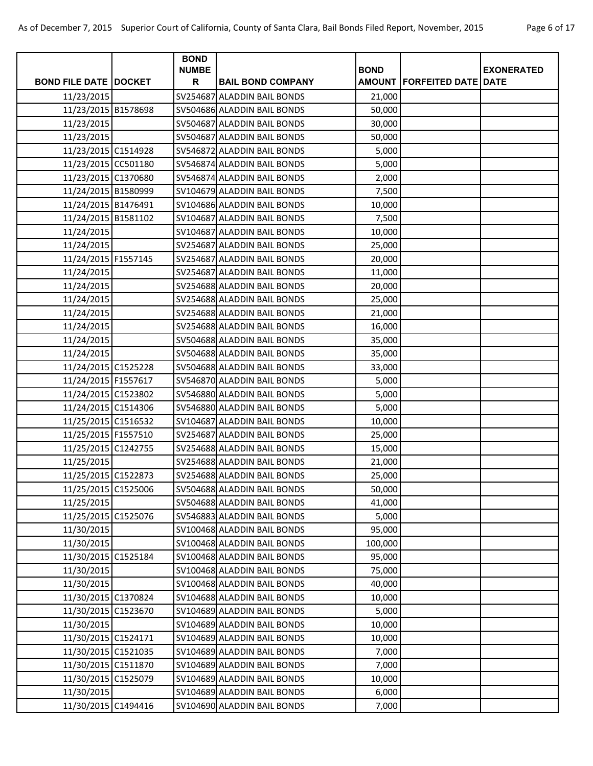| Page 6 of 17 |  |  |
|--------------|--|--|
|              |  |  |

|                              | <b>BOND</b>       |                             |             |                                       |                   |
|------------------------------|-------------------|-----------------------------|-------------|---------------------------------------|-------------------|
| <b>BOND FILE DATE DOCKET</b> | <b>NUMBE</b><br>R | <b>BAIL BOND COMPANY</b>    | <b>BOND</b> | <b>AMOUNT   FORFEITED DATE   DATE</b> | <b>EXONERATED</b> |
|                              |                   | SV254687 ALADDIN BAIL BONDS |             |                                       |                   |
| 11/23/2015                   |                   | SV504686 ALADDIN BAIL BONDS | 21,000      |                                       |                   |
| 11/23/2015 B1578698          |                   |                             | 50,000      |                                       |                   |
| 11/23/2015                   |                   | SV504687 ALADDIN BAIL BONDS | 30,000      |                                       |                   |
| 11/23/2015                   |                   | SV504687 ALADDIN BAIL BONDS | 50,000      |                                       |                   |
| 11/23/2015 C1514928          |                   | SV546872 ALADDIN BAIL BONDS | 5,000       |                                       |                   |
| 11/23/2015 CC501180          |                   | SV546874 ALADDIN BAIL BONDS | 5,000       |                                       |                   |
| 11/23/2015 C1370680          |                   | SV546874 ALADDIN BAIL BONDS | 2,000       |                                       |                   |
| 11/24/2015 B1580999          |                   | SV104679 ALADDIN BAIL BONDS | 7,500       |                                       |                   |
| 11/24/2015 B1476491          |                   | SV104686 ALADDIN BAIL BONDS | 10,000      |                                       |                   |
| 11/24/2015 B1581102          |                   | SV104687 ALADDIN BAIL BONDS | 7,500       |                                       |                   |
| 11/24/2015                   |                   | SV104687 ALADDIN BAIL BONDS | 10,000      |                                       |                   |
| 11/24/2015                   |                   | SV254687 ALADDIN BAIL BONDS | 25,000      |                                       |                   |
| 11/24/2015 F1557145          |                   | SV254687 ALADDIN BAIL BONDS | 20,000      |                                       |                   |
| 11/24/2015                   |                   | SV254687 ALADDIN BAIL BONDS | 11,000      |                                       |                   |
| 11/24/2015                   |                   | SV254688 ALADDIN BAIL BONDS | 20,000      |                                       |                   |
| 11/24/2015                   |                   | SV254688 ALADDIN BAIL BONDS | 25,000      |                                       |                   |
| 11/24/2015                   |                   | SV254688 ALADDIN BAIL BONDS | 21,000      |                                       |                   |
| 11/24/2015                   |                   | SV254688 ALADDIN BAIL BONDS | 16,000      |                                       |                   |
| 11/24/2015                   |                   | SV504688 ALADDIN BAIL BONDS | 35,000      |                                       |                   |
| 11/24/2015                   |                   | SV504688 ALADDIN BAIL BONDS | 35,000      |                                       |                   |
| 11/24/2015 C1525228          |                   | SV504688 ALADDIN BAIL BONDS | 33,000      |                                       |                   |
| 11/24/2015 F1557617          |                   | SV546870 ALADDIN BAIL BONDS | 5,000       |                                       |                   |
| 11/24/2015 C1523802          |                   | SV546880 ALADDIN BAIL BONDS | 5,000       |                                       |                   |
| 11/24/2015 C1514306          |                   | SV546880 ALADDIN BAIL BONDS | 5,000       |                                       |                   |
| 11/25/2015 C1516532          |                   | SV104687 ALADDIN BAIL BONDS | 10,000      |                                       |                   |
| 11/25/2015 F1557510          |                   | SV254687 ALADDIN BAIL BONDS | 25,000      |                                       |                   |
| 11/25/2015 C1242755          |                   | SV254688 ALADDIN BAIL BONDS | 15,000      |                                       |                   |
| 11/25/2015                   |                   | SV254688 ALADDIN BAIL BONDS | 21,000      |                                       |                   |
| 11/25/2015 C1522873          |                   | SV254688 ALADDIN BAIL BONDS | 25,000      |                                       |                   |
| 11/25/2015 C1525006          |                   | SV504688 ALADDIN BAIL BONDS | 50,000      |                                       |                   |
| 11/25/2015                   |                   | SV504688 ALADDIN BAIL BONDS | 41,000      |                                       |                   |
| 11/25/2015 C1525076          |                   | SV546883 ALADDIN BAIL BONDS | 5,000       |                                       |                   |
| 11/30/2015                   |                   | SV100468 ALADDIN BAIL BONDS | 95,000      |                                       |                   |
| 11/30/2015                   |                   | SV100468 ALADDIN BAIL BONDS | 100,000     |                                       |                   |
| 11/30/2015 C1525184          |                   | SV100468 ALADDIN BAIL BONDS | 95,000      |                                       |                   |
| 11/30/2015                   |                   | SV100468 ALADDIN BAIL BONDS | 75,000      |                                       |                   |
| 11/30/2015                   |                   | SV100468 ALADDIN BAIL BONDS | 40,000      |                                       |                   |
| 11/30/2015 C1370824          |                   | SV104688 ALADDIN BAIL BONDS | 10,000      |                                       |                   |
| 11/30/2015 C1523670          |                   | SV104689 ALADDIN BAIL BONDS | 5,000       |                                       |                   |
| 11/30/2015                   |                   | SV104689 ALADDIN BAIL BONDS | 10,000      |                                       |                   |
| 11/30/2015 C1524171          |                   | SV104689 ALADDIN BAIL BONDS | 10,000      |                                       |                   |
| 11/30/2015 C1521035          |                   | SV104689 ALADDIN BAIL BONDS | 7,000       |                                       |                   |
| 11/30/2015 C1511870          |                   | SV104689 ALADDIN BAIL BONDS | 7,000       |                                       |                   |
| 11/30/2015 C1525079          |                   | SV104689 ALADDIN BAIL BONDS | 10,000      |                                       |                   |
| 11/30/2015                   |                   | SV104689 ALADDIN BAIL BONDS | 6,000       |                                       |                   |
| 11/30/2015 C1494416          |                   | SV104690 ALADDIN BAIL BONDS | 7,000       |                                       |                   |
|                              |                   |                             |             |                                       |                   |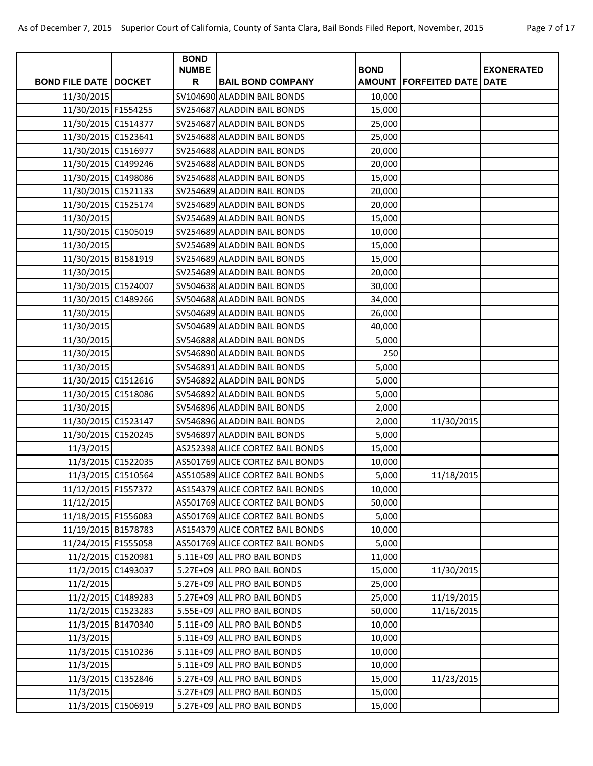|  | Page 7 of 17 |  |  |  |
|--|--------------|--|--|--|
|--|--------------|--|--|--|

|                              | <b>BOND</b><br><b>NUMBE</b> |                                  | <b>BOND</b> |                                       | <b>EXONERATED</b> |
|------------------------------|-----------------------------|----------------------------------|-------------|---------------------------------------|-------------------|
| <b>BOND FILE DATE DOCKET</b> | R                           | <b>BAIL BOND COMPANY</b>         |             | <b>AMOUNT   FORFEITED DATE   DATE</b> |                   |
| 11/30/2015                   |                             | SV104690 ALADDIN BAIL BONDS      | 10,000      |                                       |                   |
| 11/30/2015 F1554255          |                             | SV254687 ALADDIN BAIL BONDS      | 15,000      |                                       |                   |
| 11/30/2015 C1514377          |                             | SV254687 ALADDIN BAIL BONDS      | 25,000      |                                       |                   |
| 11/30/2015 C1523641          |                             | SV254688 ALADDIN BAIL BONDS      | 25,000      |                                       |                   |
| 11/30/2015 C1516977          |                             | SV254688 ALADDIN BAIL BONDS      | 20,000      |                                       |                   |
| 11/30/2015 C1499246          |                             | SV254688 ALADDIN BAIL BONDS      | 20,000      |                                       |                   |
| 11/30/2015 C1498086          |                             | SV254688 ALADDIN BAIL BONDS      | 15,000      |                                       |                   |
| 11/30/2015 C1521133          |                             | SV254689 ALADDIN BAIL BONDS      | 20,000      |                                       |                   |
| 11/30/2015 C1525174          |                             | SV254689 ALADDIN BAIL BONDS      | 20,000      |                                       |                   |
| 11/30/2015                   |                             | SV254689 ALADDIN BAIL BONDS      | 15,000      |                                       |                   |
| 11/30/2015 C1505019          |                             | SV254689 ALADDIN BAIL BONDS      | 10,000      |                                       |                   |
| 11/30/2015                   |                             | SV254689 ALADDIN BAIL BONDS      | 15,000      |                                       |                   |
| 11/30/2015 B1581919          |                             | SV254689 ALADDIN BAIL BONDS      | 15,000      |                                       |                   |
| 11/30/2015                   |                             | SV254689 ALADDIN BAIL BONDS      | 20,000      |                                       |                   |
| 11/30/2015 C1524007          |                             | SV504638 ALADDIN BAIL BONDS      | 30,000      |                                       |                   |
| 11/30/2015 C1489266          |                             | SV504688 ALADDIN BAIL BONDS      | 34,000      |                                       |                   |
| 11/30/2015                   |                             | SV504689 ALADDIN BAIL BONDS      | 26,000      |                                       |                   |
| 11/30/2015                   |                             | SV504689 ALADDIN BAIL BONDS      | 40,000      |                                       |                   |
| 11/30/2015                   |                             | SV546888 ALADDIN BAIL BONDS      | 5,000       |                                       |                   |
| 11/30/2015                   |                             | SV546890 ALADDIN BAIL BONDS      | 250         |                                       |                   |
| 11/30/2015                   |                             | SV546891 ALADDIN BAIL BONDS      | 5,000       |                                       |                   |
| 11/30/2015 C1512616          |                             | SV546892 ALADDIN BAIL BONDS      | 5,000       |                                       |                   |
| 11/30/2015 C1518086          |                             | SV546892 ALADDIN BAIL BONDS      | 5,000       |                                       |                   |
| 11/30/2015                   |                             | SV546896 ALADDIN BAIL BONDS      | 2,000       |                                       |                   |
| 11/30/2015 C1523147          |                             | SV546896 ALADDIN BAIL BONDS      | 2,000       | 11/30/2015                            |                   |
| 11/30/2015 C1520245          |                             | SV546897 ALADDIN BAIL BONDS      | 5,000       |                                       |                   |
| 11/3/2015                    |                             | AS252398 ALICE CORTEZ BAIL BONDS | 15,000      |                                       |                   |
| 11/3/2015 C1522035           |                             | AS501769 ALICE CORTEZ BAIL BONDS | 10,000      |                                       |                   |
| 11/3/2015 C1510564           |                             | AS510589 ALICE CORTEZ BAIL BONDS | 5,000       | 11/18/2015                            |                   |
| 11/12/2015 F1557372          |                             | AS154379 ALICE CORTEZ BAIL BONDS | 10,000      |                                       |                   |
| 11/12/2015                   |                             | AS501769 ALICE CORTEZ BAIL BONDS | 50,000      |                                       |                   |
| 11/18/2015 F1556083          |                             | AS501769 ALICE CORTEZ BAIL BONDS | 5,000       |                                       |                   |
| 11/19/2015 B1578783          |                             | AS154379 ALICE CORTEZ BAIL BONDS | 10,000      |                                       |                   |
| 11/24/2015 F1555058          |                             | AS501769 ALICE CORTEZ BAIL BONDS | 5,000       |                                       |                   |
| 11/2/2015 C1520981           |                             | 5.11E+09 ALL PRO BAIL BONDS      | 11,000      |                                       |                   |
| 11/2/2015 C1493037           |                             | 5.27E+09 ALL PRO BAIL BONDS      | 15,000      | 11/30/2015                            |                   |
| 11/2/2015                    |                             | 5.27E+09 ALL PRO BAIL BONDS      | 25,000      |                                       |                   |
| 11/2/2015 C1489283           |                             | 5.27E+09 ALL PRO BAIL BONDS      | 25,000      | 11/19/2015                            |                   |
| 11/2/2015 C1523283           |                             | 5.55E+09 ALL PRO BAIL BONDS      | 50,000      | 11/16/2015                            |                   |
| 11/3/2015 B1470340           |                             | 5.11E+09 ALL PRO BAIL BONDS      | 10,000      |                                       |                   |
| 11/3/2015                    |                             | 5.11E+09 ALL PRO BAIL BONDS      | 10,000      |                                       |                   |
| 11/3/2015 C1510236           |                             | 5.11E+09 ALL PRO BAIL BONDS      | 10,000      |                                       |                   |
| 11/3/2015                    |                             | 5.11E+09 ALL PRO BAIL BONDS      | 10,000      |                                       |                   |
| 11/3/2015 C1352846           |                             | 5.27E+09 ALL PRO BAIL BONDS      | 15,000      | 11/23/2015                            |                   |
| 11/3/2015                    |                             | 5.27E+09 ALL PRO BAIL BONDS      | 15,000      |                                       |                   |
| 11/3/2015 C1506919           |                             | 5.27E+09 ALL PRO BAIL BONDS      | 15,000      |                                       |                   |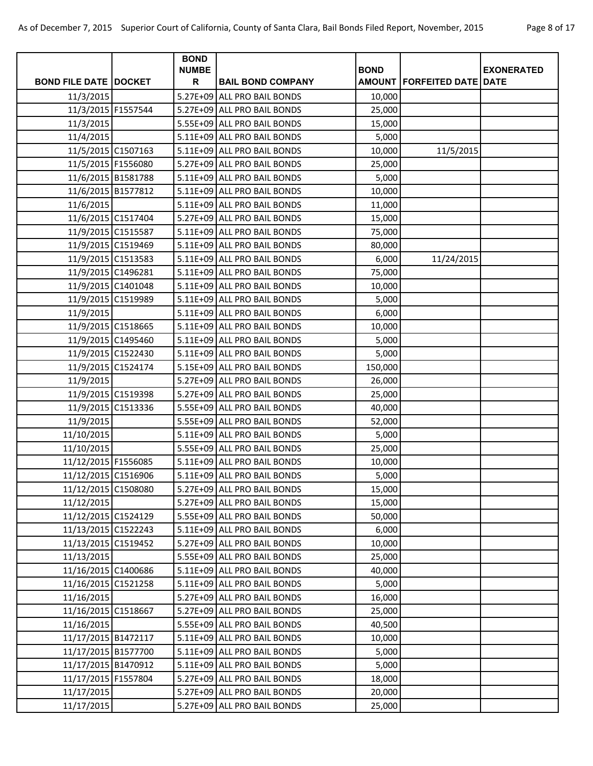| Page 8 of 17 |  |  |
|--------------|--|--|
|--------------|--|--|

|                              | <b>BOND</b>       |                             |             |                                |                   |
|------------------------------|-------------------|-----------------------------|-------------|--------------------------------|-------------------|
| <b>BOND FILE DATE DOCKET</b> | <b>NUMBE</b><br>R | <b>BAIL BOND COMPANY</b>    | <b>BOND</b> | AMOUNT   FORFEITED DATE   DATE | <b>EXONERATED</b> |
| 11/3/2015                    |                   | 5.27E+09 ALL PRO BAIL BONDS | 10,000      |                                |                   |
| 11/3/2015 F1557544           |                   | 5.27E+09 ALL PRO BAIL BONDS | 25,000      |                                |                   |
| 11/3/2015                    |                   | 5.55E+09 ALL PRO BAIL BONDS | 15,000      |                                |                   |
| 11/4/2015                    |                   | 5.11E+09 ALL PRO BAIL BONDS | 5,000       |                                |                   |
| 11/5/2015 C1507163           |                   | 5.11E+09 ALL PRO BAIL BONDS | 10,000      | 11/5/2015                      |                   |
| 11/5/2015 F1556080           |                   | 5.27E+09 ALL PRO BAIL BONDS | 25,000      |                                |                   |
| 11/6/2015 B1581788           |                   | 5.11E+09 ALL PRO BAIL BONDS | 5,000       |                                |                   |
| 11/6/2015 B1577812           |                   | 5.11E+09 ALL PRO BAIL BONDS | 10,000      |                                |                   |
| 11/6/2015                    |                   | 5.11E+09 ALL PRO BAIL BONDS | 11,000      |                                |                   |
| 11/6/2015 C1517404           |                   | 5.27E+09 ALL PRO BAIL BONDS | 15,000      |                                |                   |
| 11/9/2015 C1515587           |                   | 5.11E+09 ALL PRO BAIL BONDS | 75,000      |                                |                   |
| 11/9/2015 C1519469           |                   | 5.11E+09 ALL PRO BAIL BONDS | 80,000      |                                |                   |
| 11/9/2015 C1513583           |                   | 5.11E+09 ALL PRO BAIL BONDS | 6,000       | 11/24/2015                     |                   |
| 11/9/2015 C1496281           |                   | 5.11E+09 ALL PRO BAIL BONDS | 75,000      |                                |                   |
| 11/9/2015 C1401048           |                   | 5.11E+09 ALL PRO BAIL BONDS | 10,000      |                                |                   |
| 11/9/2015 C1519989           |                   | 5.11E+09 ALL PRO BAIL BONDS | 5,000       |                                |                   |
| 11/9/2015                    |                   | 5.11E+09 ALL PRO BAIL BONDS | 6,000       |                                |                   |
| 11/9/2015 C1518665           |                   | 5.11E+09 ALL PRO BAIL BONDS | 10,000      |                                |                   |
| 11/9/2015 C1495460           |                   | 5.11E+09 ALL PRO BAIL BONDS | 5,000       |                                |                   |
| 11/9/2015 C1522430           |                   | 5.11E+09 ALL PRO BAIL BONDS | 5,000       |                                |                   |
| 11/9/2015 C1524174           |                   | 5.15E+09 ALL PRO BAIL BONDS | 150,000     |                                |                   |
| 11/9/2015                    |                   | 5.27E+09 ALL PRO BAIL BONDS | 26,000      |                                |                   |
| 11/9/2015 C1519398           |                   | 5.27E+09 ALL PRO BAIL BONDS | 25,000      |                                |                   |
| 11/9/2015 C1513336           |                   | 5.55E+09 ALL PRO BAIL BONDS | 40,000      |                                |                   |
| 11/9/2015                    |                   | 5.55E+09 ALL PRO BAIL BONDS | 52,000      |                                |                   |
| 11/10/2015                   |                   | 5.11E+09 ALL PRO BAIL BONDS | 5,000       |                                |                   |
| 11/10/2015                   |                   | 5.55E+09 ALL PRO BAIL BONDS | 25,000      |                                |                   |
| 11/12/2015 F1556085          |                   | 5.11E+09 ALL PRO BAIL BONDS | 10,000      |                                |                   |
| 11/12/2015 C1516906          |                   | 5.11E+09 ALL PRO BAIL BONDS | 5,000       |                                |                   |
| 11/12/2015 C1508080          |                   | 5.27E+09 ALL PRO BAIL BONDS | 15,000      |                                |                   |
| 11/12/2015                   |                   | 5.27E+09 ALL PRO BAIL BONDS | 15,000      |                                |                   |
| 11/12/2015 C1524129          |                   | 5.55E+09 ALL PRO BAIL BONDS | 50,000      |                                |                   |
| 11/13/2015 C1522243          |                   | 5.11E+09 ALL PRO BAIL BONDS | 6,000       |                                |                   |
| 11/13/2015 C1519452          |                   | 5.27E+09 ALL PRO BAIL BONDS | 10,000      |                                |                   |
| 11/13/2015                   |                   | 5.55E+09 ALL PRO BAIL BONDS | 25,000      |                                |                   |
| 11/16/2015 C1400686          |                   | 5.11E+09 ALL PRO BAIL BONDS | 40,000      |                                |                   |
| 11/16/2015 C1521258          |                   | 5.11E+09 ALL PRO BAIL BONDS | 5,000       |                                |                   |
| 11/16/2015                   |                   | 5.27E+09 ALL PRO BAIL BONDS | 16,000      |                                |                   |
| 11/16/2015 C1518667          |                   | 5.27E+09 ALL PRO BAIL BONDS | 25,000      |                                |                   |
| 11/16/2015                   |                   | 5.55E+09 ALL PRO BAIL BONDS | 40,500      |                                |                   |
| 11/17/2015 B1472117          |                   | 5.11E+09 ALL PRO BAIL BONDS | 10,000      |                                |                   |
| 11/17/2015 B1577700          |                   | 5.11E+09 ALL PRO BAIL BONDS | 5,000       |                                |                   |
| 11/17/2015 B1470912          |                   | 5.11E+09 ALL PRO BAIL BONDS | 5,000       |                                |                   |
| 11/17/2015 F1557804          |                   | 5.27E+09 ALL PRO BAIL BONDS | 18,000      |                                |                   |
| 11/17/2015                   |                   | 5.27E+09 ALL PRO BAIL BONDS | 20,000      |                                |                   |
| 11/17/2015                   |                   | 5.27E+09 ALL PRO BAIL BONDS | 25,000      |                                |                   |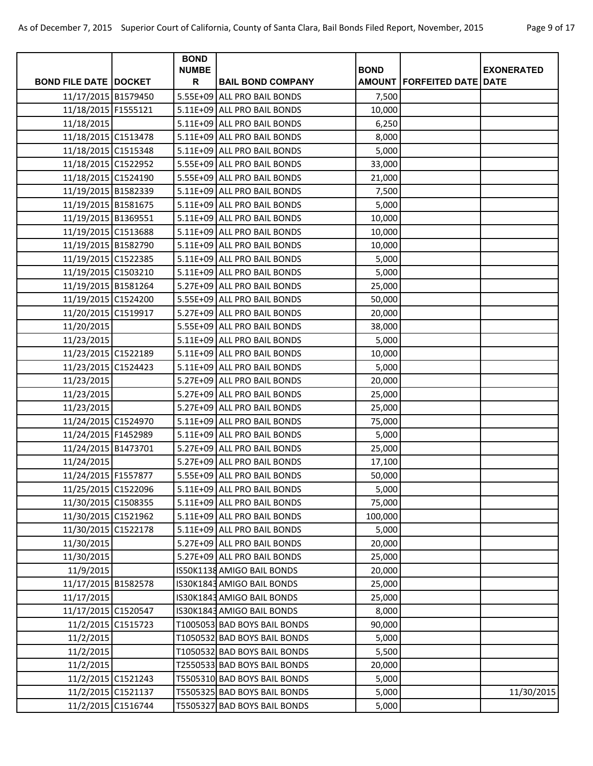|  | Page 9 of 17 |  |  |  |
|--|--------------|--|--|--|
|--|--------------|--|--|--|

|                                |                    | <b>BOND</b>  |                              |             |                                |                   |
|--------------------------------|--------------------|--------------|------------------------------|-------------|--------------------------------|-------------------|
|                                |                    | <b>NUMBE</b> |                              | <b>BOND</b> |                                | <b>EXONERATED</b> |
| <b>BOND FILE DATE   DOCKET</b> |                    | R            | <b>BAIL BOND COMPANY</b>     |             | AMOUNT   FORFEITED DATE   DATE |                   |
| 11/17/2015 B1579450            |                    |              | 5.55E+09 ALL PRO BAIL BONDS  | 7,500       |                                |                   |
| 11/18/2015 F1555121            |                    |              | 5.11E+09 ALL PRO BAIL BONDS  | 10,000      |                                |                   |
| 11/18/2015                     |                    |              | 5.11E+09 ALL PRO BAIL BONDS  | 6,250       |                                |                   |
| 11/18/2015 C1513478            |                    |              | 5.11E+09 ALL PRO BAIL BONDS  | 8,000       |                                |                   |
| 11/18/2015 C1515348            |                    |              | 5.11E+09 ALL PRO BAIL BONDS  | 5,000       |                                |                   |
| 11/18/2015 C1522952            |                    |              | 5.55E+09 ALL PRO BAIL BONDS  | 33,000      |                                |                   |
| 11/18/2015 C1524190            |                    |              | 5.55E+09 ALL PRO BAIL BONDS  | 21,000      |                                |                   |
| 11/19/2015 B1582339            |                    |              | 5.11E+09 ALL PRO BAIL BONDS  | 7,500       |                                |                   |
| 11/19/2015 B1581675            |                    |              | 5.11E+09 ALL PRO BAIL BONDS  | 5,000       |                                |                   |
| 11/19/2015 B1369551            |                    |              | 5.11E+09 ALL PRO BAIL BONDS  | 10,000      |                                |                   |
| 11/19/2015 C1513688            |                    |              | 5.11E+09 ALL PRO BAIL BONDS  | 10,000      |                                |                   |
| 11/19/2015 B1582790            |                    |              | 5.11E+09 ALL PRO BAIL BONDS  | 10,000      |                                |                   |
| 11/19/2015 C1522385            |                    |              | 5.11E+09 ALL PRO BAIL BONDS  | 5,000       |                                |                   |
| 11/19/2015 C1503210            |                    |              | 5.11E+09 ALL PRO BAIL BONDS  | 5,000       |                                |                   |
| 11/19/2015 B1581264            |                    |              | 5.27E+09 ALL PRO BAIL BONDS  | 25,000      |                                |                   |
| 11/19/2015 C1524200            |                    |              | 5.55E+09 ALL PRO BAIL BONDS  | 50,000      |                                |                   |
| 11/20/2015 C1519917            |                    |              | 5.27E+09 ALL PRO BAIL BONDS  | 20,000      |                                |                   |
| 11/20/2015                     |                    |              | 5.55E+09 ALL PRO BAIL BONDS  | 38,000      |                                |                   |
| 11/23/2015                     |                    |              | 5.11E+09 ALL PRO BAIL BONDS  | 5,000       |                                |                   |
| 11/23/2015 C1522189            |                    |              | 5.11E+09 ALL PRO BAIL BONDS  | 10,000      |                                |                   |
| 11/23/2015 C1524423            |                    |              | 5.11E+09 ALL PRO BAIL BONDS  | 5,000       |                                |                   |
| 11/23/2015                     |                    |              | 5.27E+09 ALL PRO BAIL BONDS  | 20,000      |                                |                   |
| 11/23/2015                     |                    |              | 5.27E+09 ALL PRO BAIL BONDS  | 25,000      |                                |                   |
| 11/23/2015                     |                    |              | 5.27E+09 ALL PRO BAIL BONDS  | 25,000      |                                |                   |
| 11/24/2015 C1524970            |                    |              | 5.11E+09 ALL PRO BAIL BONDS  | 75,000      |                                |                   |
| 11/24/2015 F1452989            |                    |              | 5.11E+09 ALL PRO BAIL BONDS  | 5,000       |                                |                   |
| 11/24/2015 B1473701            |                    |              | 5.27E+09 ALL PRO BAIL BONDS  | 25,000      |                                |                   |
| 11/24/2015                     |                    |              | 5.27E+09 ALL PRO BAIL BONDS  | 17,100      |                                |                   |
| 11/24/2015 F1557877            |                    |              | 5.55E+09 ALL PRO BAIL BONDS  | 50,000      |                                |                   |
| 11/25/2015 C1522096            |                    |              | 5.11E+09 ALL PRO BAIL BONDS  | 5,000       |                                |                   |
| 11/30/2015 C1508355            |                    |              | 5.11E+09 ALL PRO BAIL BONDS  | 75,000      |                                |                   |
| 11/30/2015 C1521962            |                    |              | 5.11E+09 ALL PRO BAIL BONDS  | 100,000     |                                |                   |
| 11/30/2015 C1522178            |                    |              | 5.11E+09 ALL PRO BAIL BONDS  | 5,000       |                                |                   |
| 11/30/2015                     |                    |              | 5.27E+09 ALL PRO BAIL BONDS  | 20,000      |                                |                   |
| 11/30/2015                     |                    |              | 5.27E+09 ALL PRO BAIL BONDS  | 25,000      |                                |                   |
| 11/9/2015                      |                    |              | IS50K1138 AMIGO BAIL BONDS   | 20,000      |                                |                   |
| 11/17/2015 B1582578            |                    |              | IS30K1843 AMIGO BAIL BONDS   | 25,000      |                                |                   |
| 11/17/2015                     |                    |              | IS30K1843 AMIGO BAIL BONDS   | 25,000      |                                |                   |
| 11/17/2015 C1520547            |                    |              | IS30K1843 AMIGO BAIL BONDS   | 8,000       |                                |                   |
|                                | 11/2/2015 C1515723 |              | T1005053 BAD BOYS BAIL BONDS | 90,000      |                                |                   |
| 11/2/2015                      |                    |              | T1050532 BAD BOYS BAIL BONDS | 5,000       |                                |                   |
| 11/2/2015                      |                    |              | T1050532 BAD BOYS BAIL BONDS | 5,500       |                                |                   |
| 11/2/2015                      |                    |              | T2550533 BAD BOYS BAIL BONDS | 20,000      |                                |                   |
|                                | 11/2/2015 C1521243 |              | T5505310 BAD BOYS BAIL BONDS | 5,000       |                                |                   |
|                                | 11/2/2015 C1521137 |              | T5505325 BAD BOYS BAIL BONDS | 5,000       |                                | 11/30/2015        |
|                                | 11/2/2015 C1516744 |              | T5505327 BAD BOYS BAIL BONDS | 5,000       |                                |                   |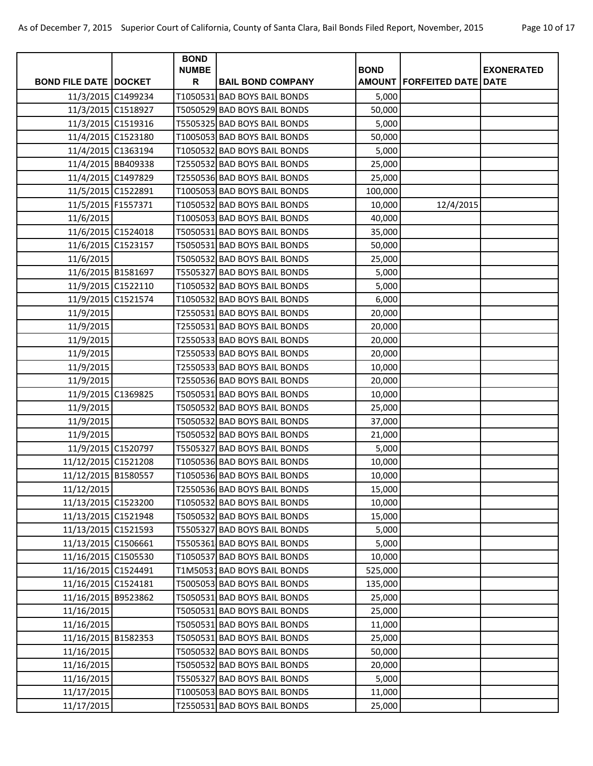|                                |                    | <b>BOND</b>       |                              | <b>BOND</b> |                                       |                   |
|--------------------------------|--------------------|-------------------|------------------------------|-------------|---------------------------------------|-------------------|
| <b>BOND FILE DATE   DOCKET</b> |                    | <b>NUMBE</b><br>R | <b>BAIL BOND COMPANY</b>     |             | <b>AMOUNT   FORFEITED DATE   DATE</b> | <b>EXONERATED</b> |
|                                | 11/3/2015 C1499234 |                   | T1050531 BAD BOYS BAIL BONDS | 5,000       |                                       |                   |
|                                | 11/3/2015 C1518927 |                   | T5050529 BAD BOYS BAIL BONDS | 50,000      |                                       |                   |
|                                | 11/3/2015 C1519316 |                   | T5505325 BAD BOYS BAIL BONDS | 5,000       |                                       |                   |
|                                | 11/4/2015 C1523180 |                   | T1005053 BAD BOYS BAIL BONDS | 50,000      |                                       |                   |
|                                | 11/4/2015 C1363194 |                   | T1050532 BAD BOYS BAIL BONDS | 5,000       |                                       |                   |
|                                | 11/4/2015 BB409338 |                   | T2550532 BAD BOYS BAIL BONDS | 25,000      |                                       |                   |
|                                | 11/4/2015 C1497829 |                   | T2550536 BAD BOYS BAIL BONDS | 25,000      |                                       |                   |
|                                | 11/5/2015 C1522891 |                   | T1005053 BAD BOYS BAIL BONDS | 100,000     |                                       |                   |
| 11/5/2015 F1557371             |                    |                   | T1050532 BAD BOYS BAIL BONDS | 10,000      | 12/4/2015                             |                   |
| 11/6/2015                      |                    |                   | T1005053 BAD BOYS BAIL BONDS | 40,000      |                                       |                   |
|                                | 11/6/2015 C1524018 |                   | T5050531 BAD BOYS BAIL BONDS | 35,000      |                                       |                   |
|                                | 11/6/2015 C1523157 |                   | T5050531 BAD BOYS BAIL BONDS | 50,000      |                                       |                   |
| 11/6/2015                      |                    |                   | T5050532 BAD BOYS BAIL BONDS | 25,000      |                                       |                   |
|                                | 11/6/2015 B1581697 |                   | T5505327 BAD BOYS BAIL BONDS | 5,000       |                                       |                   |
|                                | 11/9/2015 C1522110 |                   | T1050532 BAD BOYS BAIL BONDS | 5,000       |                                       |                   |
|                                | 11/9/2015 C1521574 |                   | T1050532 BAD BOYS BAIL BONDS | 6,000       |                                       |                   |
| 11/9/2015                      |                    |                   | T2550531 BAD BOYS BAIL BONDS | 20,000      |                                       |                   |
| 11/9/2015                      |                    |                   | T2550531 BAD BOYS BAIL BONDS | 20,000      |                                       |                   |
| 11/9/2015                      |                    |                   | T2550533 BAD BOYS BAIL BONDS | 20,000      |                                       |                   |
| 11/9/2015                      |                    |                   | T2550533 BAD BOYS BAIL BONDS | 20,000      |                                       |                   |
| 11/9/2015                      |                    |                   | T2550533 BAD BOYS BAIL BONDS | 10,000      |                                       |                   |
| 11/9/2015                      |                    |                   | T2550536 BAD BOYS BAIL BONDS | 20,000      |                                       |                   |
|                                | 11/9/2015 C1369825 |                   | T5050531 BAD BOYS BAIL BONDS | 10,000      |                                       |                   |
| 11/9/2015                      |                    |                   | T5050532 BAD BOYS BAIL BONDS | 25,000      |                                       |                   |
| 11/9/2015                      |                    |                   | T5050532 BAD BOYS BAIL BONDS | 37,000      |                                       |                   |
| 11/9/2015                      |                    |                   | T5050532 BAD BOYS BAIL BONDS | 21,000      |                                       |                   |
| 11/9/2015 C1520797             |                    |                   | T5505327 BAD BOYS BAIL BONDS | 5,000       |                                       |                   |
| 11/12/2015 C1521208            |                    |                   | T1050536 BAD BOYS BAIL BONDS | 10,000      |                                       |                   |
| 11/12/2015 B1580557            |                    |                   | T1050536 BAD BOYS BAIL BONDS | 10,000      |                                       |                   |
| 11/12/2015                     |                    |                   | T2550536 BAD BOYS BAIL BONDS | 15,000      |                                       |                   |
| 11/13/2015 C1523200            |                    |                   | T1050532 BAD BOYS BAIL BONDS | 10,000      |                                       |                   |
| 11/13/2015 C1521948            |                    |                   | T5050532 BAD BOYS BAIL BONDS | 15,000      |                                       |                   |
| 11/13/2015 C1521593            |                    |                   | T5505327 BAD BOYS BAIL BONDS | 5,000       |                                       |                   |
| 11/13/2015 C1506661            |                    |                   | T5505361 BAD BOYS BAIL BONDS | 5,000       |                                       |                   |
| 11/16/2015 C1505530            |                    |                   | T1050537 BAD BOYS BAIL BONDS | 10,000      |                                       |                   |
| 11/16/2015 C1524491            |                    |                   | T1M50531BAD BOYS BAIL BONDS  | 525,000     |                                       |                   |
| 11/16/2015 C1524181            |                    |                   | T5005053 BAD BOYS BAIL BONDS | 135,000     |                                       |                   |
| 11/16/2015 B9523862            |                    |                   | T5050531 BAD BOYS BAIL BONDS | 25,000      |                                       |                   |
| 11/16/2015                     |                    |                   | T5050531 BAD BOYS BAIL BONDS | 25,000      |                                       |                   |
| 11/16/2015                     |                    |                   | T5050531 BAD BOYS BAIL BONDS | 11,000      |                                       |                   |
| 11/16/2015 B1582353            |                    |                   | T5050531 BAD BOYS BAIL BONDS | 25,000      |                                       |                   |
| 11/16/2015                     |                    |                   | T5050532 BAD BOYS BAIL BONDS | 50,000      |                                       |                   |
| 11/16/2015                     |                    |                   | T5050532 BAD BOYS BAIL BONDS | 20,000      |                                       |                   |
| 11/16/2015                     |                    |                   | T5505327 BAD BOYS BAIL BONDS | 5,000       |                                       |                   |
| 11/17/2015                     |                    |                   | T1005053 BAD BOYS BAIL BONDS | 11,000      |                                       |                   |
| 11/17/2015                     |                    |                   | T2550531 BAD BOYS BAIL BONDS | 25,000      |                                       |                   |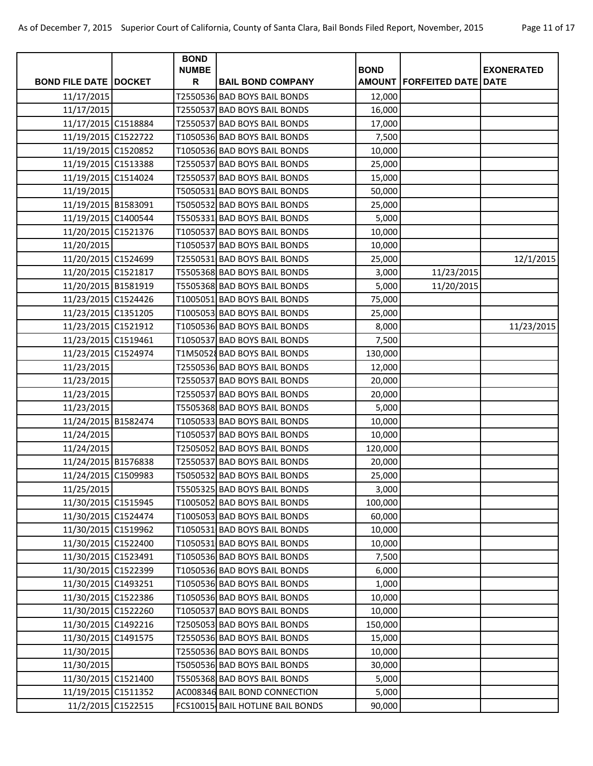|                                |                    | <b>BOND</b><br><b>NUMBE</b> |                                  | <b>BOND</b> |                                       |                   |
|--------------------------------|--------------------|-----------------------------|----------------------------------|-------------|---------------------------------------|-------------------|
| <b>BOND FILE DATE   DOCKET</b> |                    | $\mathsf{R}$                | <b>BAIL BOND COMPANY</b>         |             | <b>AMOUNT   FORFEITED DATE   DATE</b> | <b>EXONERATED</b> |
| 11/17/2015                     |                    |                             | T2550536 BAD BOYS BAIL BONDS     | 12,000      |                                       |                   |
| 11/17/2015                     |                    |                             | T2550537 BAD BOYS BAIL BONDS     | 16,000      |                                       |                   |
| 11/17/2015 C1518884            |                    |                             | T2550537 BAD BOYS BAIL BONDS     | 17,000      |                                       |                   |
| 11/19/2015 C1522722            |                    |                             | T1050536 BAD BOYS BAIL BONDS     | 7,500       |                                       |                   |
| 11/19/2015 C1520852            |                    |                             | T1050536 BAD BOYS BAIL BONDS     | 10,000      |                                       |                   |
| 11/19/2015 C1513388            |                    |                             | T2550537 BAD BOYS BAIL BONDS     | 25,000      |                                       |                   |
| 11/19/2015 C1514024            |                    |                             | T2550537 BAD BOYS BAIL BONDS     | 15,000      |                                       |                   |
| 11/19/2015                     |                    |                             | T5050531 BAD BOYS BAIL BONDS     | 50,000      |                                       |                   |
| 11/19/2015 B1583091            |                    |                             | T5050532 BAD BOYS BAIL BONDS     | 25,000      |                                       |                   |
| 11/19/2015 C1400544            |                    |                             | T5505331 BAD BOYS BAIL BONDS     | 5,000       |                                       |                   |
| 11/20/2015 C1521376            |                    |                             | T1050537 BAD BOYS BAIL BONDS     | 10,000      |                                       |                   |
| 11/20/2015                     |                    |                             | T1050537 BAD BOYS BAIL BONDS     | 10,000      |                                       |                   |
| 11/20/2015 C1524699            |                    |                             | T2550531 BAD BOYS BAIL BONDS     | 25,000      |                                       | 12/1/2015         |
| 11/20/2015 C1521817            |                    |                             | T5505368 BAD BOYS BAIL BONDS     | 3,000       | 11/23/2015                            |                   |
| 11/20/2015 B1581919            |                    |                             | T5505368 BAD BOYS BAIL BONDS     | 5,000       | 11/20/2015                            |                   |
| 11/23/2015 C1524426            |                    |                             | T1005051 BAD BOYS BAIL BONDS     | 75,000      |                                       |                   |
| 11/23/2015 C1351205            |                    |                             | T1005053 BAD BOYS BAIL BONDS     | 25,000      |                                       |                   |
| 11/23/2015 C1521912            |                    |                             | T1050536 BAD BOYS BAIL BONDS     | 8,000       |                                       | 11/23/2015        |
| 11/23/2015 C1519461            |                    |                             | T1050537 BAD BOYS BAIL BONDS     | 7,500       |                                       |                   |
| 11/23/2015 C1524974            |                    |                             | T1M50528 BAD BOYS BAIL BONDS     | 130,000     |                                       |                   |
| 11/23/2015                     |                    |                             | T2550536 BAD BOYS BAIL BONDS     | 12,000      |                                       |                   |
| 11/23/2015                     |                    |                             | T2550537 BAD BOYS BAIL BONDS     | 20,000      |                                       |                   |
| 11/23/2015                     |                    |                             | T2550537 BAD BOYS BAIL BONDS     | 20,000      |                                       |                   |
| 11/23/2015                     |                    |                             | T5505368 BAD BOYS BAIL BONDS     | 5,000       |                                       |                   |
| 11/24/2015 B1582474            |                    |                             | T1050533 BAD BOYS BAIL BONDS     | 10,000      |                                       |                   |
| 11/24/2015                     |                    |                             | T1050537 BAD BOYS BAIL BONDS     | 10,000      |                                       |                   |
| 11/24/2015                     |                    |                             | T2505052 BAD BOYS BAIL BONDS     | 120,000     |                                       |                   |
| 11/24/2015 B1576838            |                    |                             | T2550537 BAD BOYS BAIL BONDS     | 20,000      |                                       |                   |
| 11/24/2015 C1509983            |                    |                             | T5050532 BAD BOYS BAIL BONDS     | 25,000      |                                       |                   |
| 11/25/2015                     |                    |                             | T5505325 BAD BOYS BAIL BONDS     | 3,000       |                                       |                   |
| 11/30/2015 C1515945            |                    |                             | T1005052 BAD BOYS BAIL BONDS     | 100,000     |                                       |                   |
| 11/30/2015 C1524474            |                    |                             | T1005053 BAD BOYS BAIL BONDS     | 60,000      |                                       |                   |
| 11/30/2015 C1519962            |                    |                             | T1050531 BAD BOYS BAIL BONDS     | 10,000      |                                       |                   |
| 11/30/2015 C1522400            |                    |                             | T1050531 BAD BOYS BAIL BONDS     | 10,000      |                                       |                   |
| 11/30/2015 C1523491            |                    |                             | T1050536 BAD BOYS BAIL BONDS     | 7,500       |                                       |                   |
| 11/30/2015 C1522399            |                    |                             | T1050536 BAD BOYS BAIL BONDS     | 6,000       |                                       |                   |
| 11/30/2015 C1493251            |                    |                             | T1050536 BAD BOYS BAIL BONDS     | 1,000       |                                       |                   |
| 11/30/2015 C1522386            |                    |                             | T1050536 BAD BOYS BAIL BONDS     | 10,000      |                                       |                   |
| 11/30/2015 C1522260            |                    |                             | T1050537 BAD BOYS BAIL BONDS     | 10,000      |                                       |                   |
| 11/30/2015 C1492216            |                    |                             | T2505053 BAD BOYS BAIL BONDS     | 150,000     |                                       |                   |
| 11/30/2015 C1491575            |                    |                             | T2550536 BAD BOYS BAIL BONDS     | 15,000      |                                       |                   |
| 11/30/2015                     |                    |                             | T2550536 BAD BOYS BAIL BONDS     | 10,000      |                                       |                   |
| 11/30/2015                     |                    |                             | T5050536 BAD BOYS BAIL BONDS     | 30,000      |                                       |                   |
| 11/30/2015 C1521400            |                    |                             | T5505368 BAD BOYS BAIL BONDS     | 5,000       |                                       |                   |
| 11/19/2015 C1511352            |                    |                             | AC008346 BAIL BOND CONNECTION    | 5,000       |                                       |                   |
|                                | 11/2/2015 C1522515 |                             | FCS10015 BAIL HOTLINE BAIL BONDS | 90,000      |                                       |                   |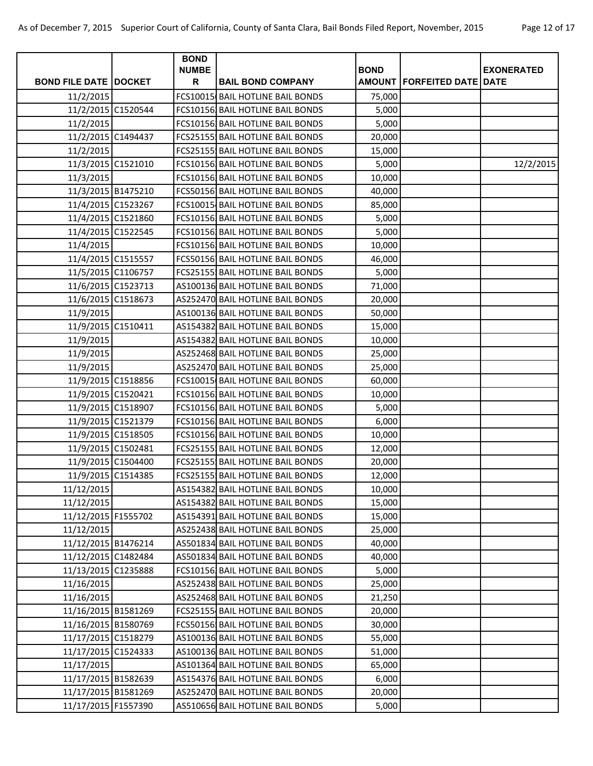|                              | <b>BOND</b><br><b>NUMBE</b> |                                   | <b>BOND</b> |                                   |                   |
|------------------------------|-----------------------------|-----------------------------------|-------------|-----------------------------------|-------------------|
| <b>BOND FILE DATE DOCKET</b> | R                           | <b>BAIL BOND COMPANY</b>          |             | <b>AMOUNT FORFEITED DATE DATE</b> | <b>EXONERATED</b> |
| 11/2/2015                    |                             | FCS10015 BAIL HOTLINE BAIL BONDS  | 75,000      |                                   |                   |
| 11/2/2015 C1520544           |                             | FCS101561 BAIL HOTLINE BAIL BONDS | 5,000       |                                   |                   |
| 11/2/2015                    |                             | FCS101561 BAIL HOTLINE BAIL BONDS | 5,000       |                                   |                   |
| 11/2/2015 C1494437           |                             | FCS25155, BAIL HOTLINE BAIL BONDS | 20,000      |                                   |                   |
| 11/2/2015                    |                             | FCS25155, BAIL HOTLINE BAIL BONDS | 15,000      |                                   |                   |
| 11/3/2015 C1521010           |                             | FCS101561 BAIL HOTLINE BAIL BONDS | 5,000       |                                   | 12/2/2015         |
| 11/3/2015                    |                             | FCS101561 BAIL HOTLINE BAIL BONDS | 10,000      |                                   |                   |
| 11/3/2015 B1475210           |                             | FCS50156 BAIL HOTLINE BAIL BONDS  | 40,000      |                                   |                   |
| 11/4/2015 C1523267           |                             | FCS10015- BAIL HOTLINE BAIL BONDS | 85,000      |                                   |                   |
| 11/4/2015 C1521860           |                             | FCS101561 BAIL HOTLINE BAIL BONDS | 5,000       |                                   |                   |
| 11/4/2015 C1522545           |                             | FCS101561 BAIL HOTLINE BAIL BONDS | 5,000       |                                   |                   |
| 11/4/2015                    |                             | FCS101561 BAIL HOTLINE BAIL BONDS | 10,000      |                                   |                   |
| 11/4/2015 C1515557           |                             | FCS50156 BAIL HOTLINE BAIL BONDS  | 46,000      |                                   |                   |
| 11/5/2015 C1106757           |                             | FCS25155 BAIL HOTLINE BAIL BONDS  | 5,000       |                                   |                   |
| 11/6/2015 C1523713           |                             | AS100136 BAIL HOTLINE BAIL BONDS  | 71,000      |                                   |                   |
| 11/6/2015 C1518673           |                             | AS252470 BAIL HOTLINE BAIL BONDS  | 20,000      |                                   |                   |
| 11/9/2015                    |                             | AS100136 BAIL HOTLINE BAIL BONDS  | 50,000      |                                   |                   |
| 11/9/2015 C1510411           |                             | AS154382 BAIL HOTLINE BAIL BONDS  | 15,000      |                                   |                   |
| 11/9/2015                    |                             | AS154382 BAIL HOTLINE BAIL BONDS  | 10,000      |                                   |                   |
| 11/9/2015                    |                             | AS252468 BAIL HOTLINE BAIL BONDS  | 25,000      |                                   |                   |
| 11/9/2015                    |                             | AS252470 BAIL HOTLINE BAIL BONDS  | 25,000      |                                   |                   |
| 11/9/2015 C1518856           |                             | FCS10015 BAIL HOTLINE BAIL BONDS  | 60,000      |                                   |                   |
| 11/9/2015 C1520421           |                             | FCS101561 BAIL HOTLINE BAIL BONDS | 10,000      |                                   |                   |
| 11/9/2015 C1518907           |                             | FCS101561 BAIL HOTLINE BAIL BONDS | 5,000       |                                   |                   |
| 11/9/2015 C1521379           |                             | FCS101561 BAIL HOTLINE BAIL BONDS | 6,000       |                                   |                   |
| 11/9/2015 C1518505           |                             | FCS101561 BAIL HOTLINE BAIL BONDS | 10,000      |                                   |                   |
| 11/9/2015 C1502481           |                             | FCS25155 BAIL HOTLINE BAIL BONDS  | 12,000      |                                   |                   |
| 11/9/2015 C1504400           |                             | FCS25155 BAIL HOTLINE BAIL BONDS  | 20,000      |                                   |                   |
| 11/9/2015 C1514385           |                             | FCS25155 BAIL HOTLINE BAIL BONDS  | 12,000      |                                   |                   |
| 11/12/2015                   |                             | AS154382 BAIL HOTLINE BAIL BONDS  | 10,000      |                                   |                   |
| 11/12/2015                   |                             | AS154382 BAIL HOTLINE BAIL BONDS  | 15,000      |                                   |                   |
| 11/12/2015 F1555702          |                             | AS154391 BAIL HOTLINE BAIL BONDS  | 15,000      |                                   |                   |
| 11/12/2015                   |                             | AS252438 BAIL HOTLINE BAIL BONDS  | 25,000      |                                   |                   |
| 11/12/2015 B1476214          |                             | AS501834 BAIL HOTLINE BAIL BONDS  | 40,000      |                                   |                   |
| 11/12/2015 C1482484          |                             | AS501834 BAIL HOTLINE BAIL BONDS  | 40,000      |                                   |                   |
| 11/13/2015 C1235888          |                             | FCS101561 BAIL HOTLINE BAIL BONDS | 5,000       |                                   |                   |
| 11/16/2015                   |                             | AS252438 BAIL HOTLINE BAIL BONDS  | 25,000      |                                   |                   |
| 11/16/2015                   |                             | AS252468 BAIL HOTLINE BAIL BONDS  | 21,250      |                                   |                   |
| 11/16/2015 B1581269          |                             | FCS25155- BAIL HOTLINE BAIL BONDS | 20,000      |                                   |                   |
| 11/16/2015 B1580769          |                             | FCS50156 BAIL HOTLINE BAIL BONDS  | 30,000      |                                   |                   |
| 11/17/2015 C1518279          |                             | AS100136 BAIL HOTLINE BAIL BONDS  | 55,000      |                                   |                   |
| 11/17/2015 C1524333          |                             | AS100136 BAIL HOTLINE BAIL BONDS  | 51,000      |                                   |                   |
| 11/17/2015                   |                             | AS101364 BAIL HOTLINE BAIL BONDS  | 65,000      |                                   |                   |
| 11/17/2015 B1582639          |                             | AS154376 BAIL HOTLINE BAIL BONDS  | 6,000       |                                   |                   |
| 11/17/2015 B1581269          |                             | AS252470 BAIL HOTLINE BAIL BONDS  | 20,000      |                                   |                   |
| 11/17/2015 F1557390          |                             | AS510656 BAIL HOTLINE BAIL BONDS  | 5,000       |                                   |                   |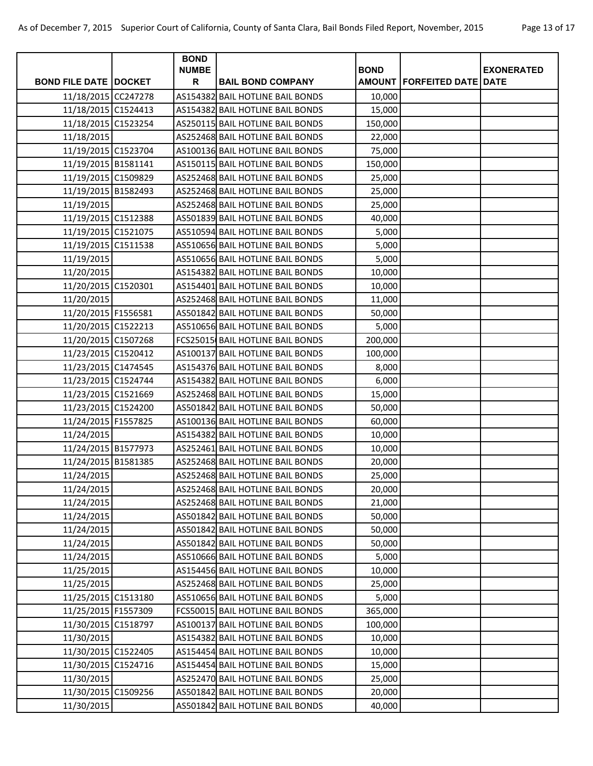|                              | <b>BOND</b><br><b>NUMBE</b> |                                   |             |                                |                   |
|------------------------------|-----------------------------|-----------------------------------|-------------|--------------------------------|-------------------|
| <b>BOND FILE DATE DOCKET</b> | R                           | <b>BAIL BOND COMPANY</b>          | <b>BOND</b> | AMOUNT   FORFEITED DATE   DATE | <b>EXONERATED</b> |
| 11/18/2015 CC247278          |                             | AS154382 BAIL HOTLINE BAIL BONDS  | 10,000      |                                |                   |
| 11/18/2015 C1524413          |                             | AS154382 BAIL HOTLINE BAIL BONDS  | 15,000      |                                |                   |
| 11/18/2015 C1523254          |                             | AS250115 BAIL HOTLINE BAIL BONDS  | 150,000     |                                |                   |
| 11/18/2015                   |                             | AS252468 BAIL HOTLINE BAIL BONDS  | 22,000      |                                |                   |
| 11/19/2015 C1523704          |                             | AS100136 BAIL HOTLINE BAIL BONDS  | 75,000      |                                |                   |
| 11/19/2015 B1581141          |                             | AS150115 BAIL HOTLINE BAIL BONDS  | 150,000     |                                |                   |
| 11/19/2015 C1509829          |                             | AS252468 BAIL HOTLINE BAIL BONDS  | 25,000      |                                |                   |
| 11/19/2015 B1582493          |                             | AS252468 BAIL HOTLINE BAIL BONDS  | 25,000      |                                |                   |
| 11/19/2015                   |                             | AS252468 BAIL HOTLINE BAIL BONDS  | 25,000      |                                |                   |
| 11/19/2015 C1512388          |                             | AS501839 BAIL HOTLINE BAIL BONDS  | 40,000      |                                |                   |
| 11/19/2015 C1521075          |                             | AS510594 BAIL HOTLINE BAIL BONDS  | 5,000       |                                |                   |
| 11/19/2015 C1511538          |                             | AS510656 BAIL HOTLINE BAIL BONDS  | 5,000       |                                |                   |
| 11/19/2015                   |                             | AS510656 BAIL HOTLINE BAIL BONDS  | 5,000       |                                |                   |
| 11/20/2015                   |                             | AS154382 BAIL HOTLINE BAIL BONDS  | 10,000      |                                |                   |
| 11/20/2015 C1520301          |                             | AS154401 BAIL HOTLINE BAIL BONDS  | 10,000      |                                |                   |
| 11/20/2015                   |                             | AS252468 BAIL HOTLINE BAIL BONDS  | 11,000      |                                |                   |
| 11/20/2015 F1556581          |                             | AS501842 BAIL HOTLINE BAIL BONDS  | 50,000      |                                |                   |
| 11/20/2015 C1522213          |                             | AS510656 BAIL HOTLINE BAIL BONDS  | 5,000       |                                |                   |
| 11/20/2015 C1507268          |                             | FCS25015 BAIL HOTLINE BAIL BONDS  | 200,000     |                                |                   |
| 11/23/2015 C1520412          |                             | AS100137 BAIL HOTLINE BAIL BONDS  | 100,000     |                                |                   |
| 11/23/2015 C1474545          |                             | AS154376 BAIL HOTLINE BAIL BONDS  | 8,000       |                                |                   |
| 11/23/2015 C1524744          |                             | AS154382 BAIL HOTLINE BAIL BONDS  | 6,000       |                                |                   |
| 11/23/2015 C1521669          |                             | AS252468 BAIL HOTLINE BAIL BONDS  | 15,000      |                                |                   |
| 11/23/2015 C1524200          |                             | AS501842 BAIL HOTLINE BAIL BONDS  | 50,000      |                                |                   |
| 11/24/2015 F1557825          |                             | AS100136 BAIL HOTLINE BAIL BONDS  | 60,000      |                                |                   |
| 11/24/2015                   |                             | AS154382 BAIL HOTLINE BAIL BONDS  | 10,000      |                                |                   |
| 11/24/2015 B1577973          |                             | AS252461 BAIL HOTLINE BAIL BONDS  | 10,000      |                                |                   |
| 11/24/2015 B1581385          |                             | AS252468 BAIL HOTLINE BAIL BONDS  | 20,000      |                                |                   |
| 11/24/2015                   |                             | AS252468 BAIL HOTLINE BAIL BONDS  | 25,000      |                                |                   |
| 11/24/2015                   |                             | AS252468 BAIL HOTLINE BAIL BONDS  | 20,000      |                                |                   |
| 11/24/2015                   |                             | AS252468 BAIL HOTLINE BAIL BONDS  | 21,000      |                                |                   |
| 11/24/2015                   |                             | AS501842 BAIL HOTLINE BAIL BONDS  | 50,000      |                                |                   |
| 11/24/2015                   |                             | AS501842 BAIL HOTLINE BAIL BONDS  | 50,000      |                                |                   |
| 11/24/2015                   |                             | AS501842 BAIL HOTLINE BAIL BONDS  | 50,000      |                                |                   |
| 11/24/2015                   |                             | AS510666 BAIL HOTLINE BAIL BONDS  | 5,000       |                                |                   |
| 11/25/2015                   |                             | AS154456 BAIL HOTLINE BAIL BONDS  | 10,000      |                                |                   |
| 11/25/2015                   |                             | AS252468 BAIL HOTLINE BAIL BONDS  | 25,000      |                                |                   |
| 11/25/2015 C1513180          |                             | AS510656 BAIL HOTLINE BAIL BONDS  | 5,000       |                                |                   |
| 11/25/2015 F1557309          |                             | FCS500151 BAIL HOTLINE BAIL BONDS | 365,000     |                                |                   |
| 11/30/2015 C1518797          |                             | AS100137 BAIL HOTLINE BAIL BONDS  | 100,000     |                                |                   |
| 11/30/2015                   |                             | AS154382 BAIL HOTLINE BAIL BONDS  | 10,000      |                                |                   |
| 11/30/2015 C1522405          |                             | AS154454 BAIL HOTLINE BAIL BONDS  | 10,000      |                                |                   |
| 11/30/2015 C1524716          |                             | AS154454 BAIL HOTLINE BAIL BONDS  | 15,000      |                                |                   |
| 11/30/2015                   |                             | AS252470 BAIL HOTLINE BAIL BONDS  | 25,000      |                                |                   |
| 11/30/2015 C1509256          |                             | AS501842 BAIL HOTLINE BAIL BONDS  | 20,000      |                                |                   |
| 11/30/2015                   |                             | AS501842 BAIL HOTLINE BAIL BONDS  | 40,000      |                                |                   |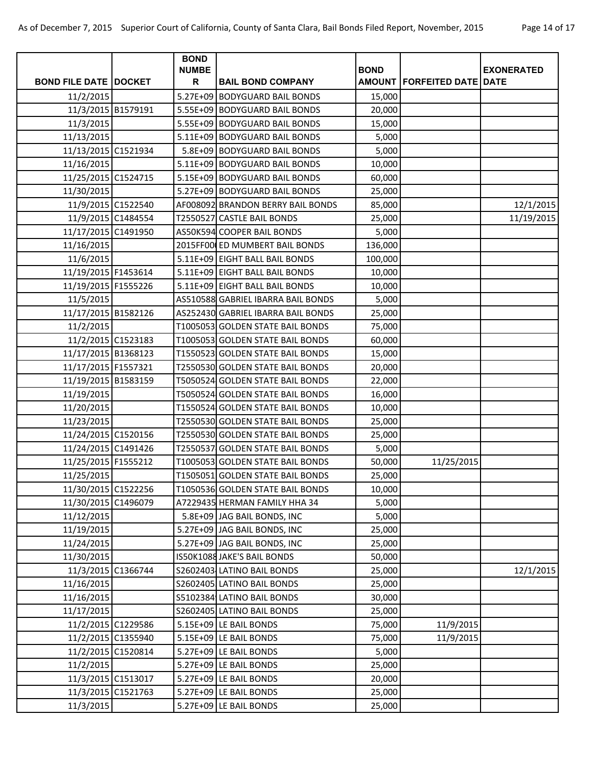| <b>BOND FILE DATE   DOCKET</b>    |                    | <b>BOND</b><br><b>NUMBE</b><br>$\mathsf{R}$ | <b>BAIL BOND COMPANY</b>                                             | <b>BOND</b>      | <b>AMOUNT FORFEITED DATE DATE</b> | <b>EXONERATED</b> |
|-----------------------------------|--------------------|---------------------------------------------|----------------------------------------------------------------------|------------------|-----------------------------------|-------------------|
|                                   |                    | 5.27E+09                                    |                                                                      |                  |                                   |                   |
| 11/2/2015<br>11/3/2015 B1579191   |                    |                                             | <b>BODYGUARD BAIL BONDS</b><br>5.55E+09 BODYGUARD BAIL BONDS         | 15,000<br>20,000 |                                   |                   |
| 11/3/2015                         |                    |                                             | 5.55E+09 BODYGUARD BAIL BONDS                                        | 15,000           |                                   |                   |
|                                   |                    |                                             | 5.11E+09 BODYGUARD BAIL BONDS                                        |                  |                                   |                   |
| 11/13/2015<br>11/13/2015 C1521934 |                    |                                             | 5.8E+09 BODYGUARD BAIL BONDS                                         | 5,000<br>5,000   |                                   |                   |
| 11/16/2015                        |                    |                                             | 5.11E+09 BODYGUARD BAIL BONDS                                        | 10,000           |                                   |                   |
| 11/25/2015 C1524715               |                    |                                             | 5.15E+09 BODYGUARD BAIL BONDS                                        |                  |                                   |                   |
| 11/30/2015                        |                    |                                             | 5.27E+09 BODYGUARD BAIL BONDS                                        | 60,000<br>25,000 |                                   |                   |
| 11/9/2015 C1522540                |                    |                                             | AF008092 BRANDON BERRY BAIL BONDS                                    | 85,000           |                                   | 12/1/2015         |
| 11/9/2015 C1484554                |                    |                                             | T2550527 CASTLE BAIL BONDS                                           | 25,000           |                                   | 11/19/2015        |
| 11/17/2015 C1491950               |                    |                                             | AS50K594 COOPER BAIL BONDS                                           | 5,000            |                                   |                   |
| 11/16/2015                        |                    |                                             | 2015FF000 ED MUMBERT BAIL BONDS                                      | 136,000          |                                   |                   |
| 11/6/2015                         |                    |                                             | 5.11E+09 EIGHT BALL BAIL BONDS                                       | 100,000          |                                   |                   |
| 11/19/2015 F1453614               |                    |                                             | 5.11E+09 EIGHT BALL BAIL BONDS                                       | 10,000           |                                   |                   |
| 11/19/2015 F1555226               |                    |                                             | 5.11E+09 EIGHT BALL BAIL BONDS                                       | 10,000           |                                   |                   |
| 11/5/2015                         |                    |                                             | AS510588 GABRIEL IBARRA BAIL BONDS                                   | 5,000            |                                   |                   |
| 11/17/2015 B1582126               |                    |                                             | AS252430 GABRIEL IBARRA BAIL BONDS                                   | 25,000           |                                   |                   |
| 11/2/2015                         |                    |                                             | T1005053 GOLDEN STATE BAIL BONDS                                     | 75,000           |                                   |                   |
| 11/2/2015 C1523183                |                    |                                             | T1005053 GOLDEN STATE BAIL BONDS                                     |                  |                                   |                   |
| 11/17/2015 B1368123               |                    |                                             |                                                                      | 60,000<br>15,000 |                                   |                   |
| 11/17/2015 F1557321               |                    |                                             | T1550523 GOLDEN STATE BAIL BONDS<br>T2550530 GOLDEN STATE BAIL BONDS | 20,000           |                                   |                   |
| 11/19/2015 B1583159               |                    |                                             | T5050524 GOLDEN STATE BAIL BONDS                                     |                  |                                   |                   |
|                                   |                    |                                             | T5050524 GOLDEN STATE BAIL BONDS                                     | 22,000           |                                   |                   |
| 11/19/2015<br>11/20/2015          |                    |                                             | T1550524 GOLDEN STATE BAIL BONDS                                     | 16,000<br>10,000 |                                   |                   |
|                                   |                    |                                             | T2550530 GOLDEN STATE BAIL BONDS                                     |                  |                                   |                   |
| 11/23/2015<br>11/24/2015 C1520156 |                    |                                             | T2550530 GOLDEN STATE BAIL BONDS                                     | 25,000           |                                   |                   |
| 11/24/2015 C1491426               |                    |                                             | T2550537 GOLDEN STATE BAIL BONDS                                     | 25,000<br>5,000  |                                   |                   |
|                                   |                    |                                             | T1005053 GOLDEN STATE BAIL BONDS                                     |                  |                                   |                   |
| 11/25/2015 F1555212               |                    |                                             |                                                                      | 50,000           | 11/25/2015                        |                   |
| 11/25/2015<br>11/30/2015 C1522256 |                    |                                             | T1505051 GOLDEN STATE BAIL BONDS<br>T1050536 GOLDEN STATE BAIL BONDS | 25,000<br>10,000 |                                   |                   |
|                                   |                    |                                             |                                                                      |                  |                                   |                   |
| 11/30/2015 C1496079               |                    |                                             | A7229435 HERMAN FAMILY HHA 34<br>5.8E+09 JAG BAIL BONDS, INC         | 5,000            |                                   |                   |
| 11/12/2015<br>11/19/2015          |                    |                                             |                                                                      | 5,000            |                                   |                   |
|                                   |                    |                                             | 5.27E+09 JAG BAIL BONDS, INC                                         | 25,000           |                                   |                   |
| 11/24/2015                        |                    |                                             | 5.27E+09 JAG BAIL BONDS, INC                                         | 25,000           |                                   |                   |
| 11/30/2015<br>11/3/2015 C1366744  |                    |                                             | IS50K1088 JAKE'S BAIL BONDS                                          | 50,000           |                                   |                   |
|                                   |                    |                                             | S2602403 LATINO BAIL BONDS                                           | 25,000           |                                   | 12/1/2015         |
| 11/16/2015                        |                    |                                             | S2602405 LATINO BAIL BONDS                                           | 25,000           |                                   |                   |
| 11/16/2015                        |                    |                                             | S5102384 LATINO BAIL BONDS                                           | 30,000           |                                   |                   |
| 11/17/2015                        |                    |                                             | S2602405 LATINO BAIL BONDS                                           | 25,000           |                                   |                   |
| 11/2/2015 C1229586                |                    |                                             | 5.15E+09 LE BAIL BONDS                                               | 75,000           | 11/9/2015                         |                   |
| 11/2/2015 C1355940                |                    |                                             | 5.15E+09 LE BAIL BONDS                                               | 75,000           | 11/9/2015                         |                   |
|                                   | 11/2/2015 C1520814 |                                             | 5.27E+09 LE BAIL BONDS                                               | 5,000            |                                   |                   |
| 11/2/2015                         |                    |                                             | 5.27E+09 LE BAIL BONDS                                               | 25,000           |                                   |                   |
| 11/3/2015 C1513017                |                    |                                             | 5.27E+09 LE BAIL BONDS                                               | 20,000           |                                   |                   |
|                                   | 11/3/2015 C1521763 |                                             | 5.27E+09 LE BAIL BONDS                                               | 25,000           |                                   |                   |
| 11/3/2015                         |                    |                                             | 5.27E+09 LE BAIL BONDS                                               | 25,000           |                                   |                   |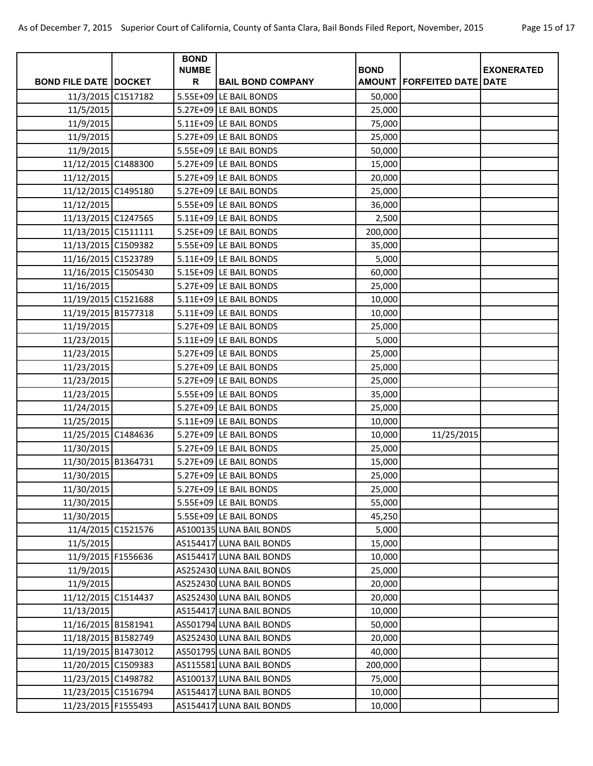|                                | <b>BOND</b>  |                          |             |                                |                   |
|--------------------------------|--------------|--------------------------|-------------|--------------------------------|-------------------|
|                                | <b>NUMBE</b> |                          | <b>BOND</b> |                                | <b>EXONERATED</b> |
| <b>BOND FILE DATE   DOCKET</b> | R            | <b>BAIL BOND COMPANY</b> |             | AMOUNT   FORFEITED DATE   DATE |                   |
| 11/3/2015 C1517182             |              | 5.55E+09 LE BAIL BONDS   | 50,000      |                                |                   |
| 11/5/2015                      |              | 5.27E+09 LE BAIL BONDS   | 25,000      |                                |                   |
| 11/9/2015                      |              | 5.11E+09 LE BAIL BONDS   | 75,000      |                                |                   |
| 11/9/2015                      |              | 5.27E+09 LE BAIL BONDS   | 25,000      |                                |                   |
| 11/9/2015                      |              | 5.55E+09 LE BAIL BONDS   | 50,000      |                                |                   |
| 11/12/2015 C1488300            |              | 5.27E+09 LE BAIL BONDS   | 15,000      |                                |                   |
| 11/12/2015                     |              | 5.27E+09 LE BAIL BONDS   | 20,000      |                                |                   |
| 11/12/2015 C1495180            |              | 5.27E+09 LE BAIL BONDS   | 25,000      |                                |                   |
| 11/12/2015                     |              | 5.55E+09 LE BAIL BONDS   | 36,000      |                                |                   |
| 11/13/2015 C1247565            |              | 5.11E+09 LE BAIL BONDS   | 2,500       |                                |                   |
| 11/13/2015 C1511111            |              | 5.25E+09 LE BAIL BONDS   | 200,000     |                                |                   |
| 11/13/2015 C1509382            |              | 5.55E+09 LE BAIL BONDS   | 35,000      |                                |                   |
| 11/16/2015 C1523789            |              | 5.11E+09 LE BAIL BONDS   | 5,000       |                                |                   |
| 11/16/2015 C1505430            |              | 5.15E+09 LE BAIL BONDS   | 60,000      |                                |                   |
| 11/16/2015                     |              | 5.27E+09 LE BAIL BONDS   | 25,000      |                                |                   |
| 11/19/2015 C1521688            |              | 5.11E+09 LE BAIL BONDS   | 10,000      |                                |                   |
| 11/19/2015 B1577318            |              | 5.11E+09 LE BAIL BONDS   | 10,000      |                                |                   |
| 11/19/2015                     |              | 5.27E+09 LE BAIL BONDS   | 25,000      |                                |                   |
| 11/23/2015                     |              | 5.11E+09 LE BAIL BONDS   | 5,000       |                                |                   |
| 11/23/2015                     |              | 5.27E+09 LE BAIL BONDS   | 25,000      |                                |                   |
| 11/23/2015                     |              | 5.27E+09 LE BAIL BONDS   | 25,000      |                                |                   |
| 11/23/2015                     |              | 5.27E+09 LE BAIL BONDS   | 25,000      |                                |                   |
| 11/23/2015                     |              | 5.55E+09 LE BAIL BONDS   | 35,000      |                                |                   |
| 11/24/2015                     |              | 5.27E+09 LE BAIL BONDS   | 25,000      |                                |                   |
| 11/25/2015                     |              | 5.11E+09 LE BAIL BONDS   | 10,000      |                                |                   |
| 11/25/2015 C1484636            |              | 5.27E+09 LE BAIL BONDS   | 10,000      | 11/25/2015                     |                   |
| 11/30/2015                     |              | 5.27E+09 LE BAIL BONDS   | 25,000      |                                |                   |
| 11/30/2015 B1364731            |              | 5.27E+09 LE BAIL BONDS   | 15,000      |                                |                   |
| 11/30/2015                     |              | 5.27E+09 LE BAIL BONDS   | 25,000      |                                |                   |
| 11/30/2015                     |              | 5.27E+09 LE BAIL BONDS   | 25,000      |                                |                   |
| 11/30/2015                     |              | 5.55E+09 LE BAIL BONDS   | 55,000      |                                |                   |
| 11/30/2015                     |              | 5.55E+09 LE BAIL BONDS   | 45,250      |                                |                   |
| 11/4/2015 C1521576             |              | AS100135 LUNA BAIL BONDS | 5,000       |                                |                   |
| 11/5/2015                      |              | AS154417 LUNA BAIL BONDS | 15,000      |                                |                   |
| 11/9/2015 F1556636             |              | AS154417 LUNA BAIL BONDS | 10,000      |                                |                   |
| 11/9/2015                      |              | AS252430 LUNA BAIL BONDS | 25,000      |                                |                   |
| 11/9/2015                      |              | AS252430 LUNA BAIL BONDS | 20,000      |                                |                   |
| 11/12/2015 C1514437            |              | AS252430 LUNA BAIL BONDS | 20,000      |                                |                   |
| 11/13/2015                     |              | AS154417 LUNA BAIL BONDS | 10,000      |                                |                   |
| 11/16/2015 B1581941            |              | AS501794 LUNA BAIL BONDS | 50,000      |                                |                   |
| 11/18/2015 B1582749            |              | AS252430 LUNA BAIL BONDS | 20,000      |                                |                   |
| 11/19/2015 B1473012            |              | AS501795 LUNA BAIL BONDS | 40,000      |                                |                   |
| 11/20/2015 C1509383            |              | AS115581 LUNA BAIL BONDS | 200,000     |                                |                   |
| 11/23/2015 C1498782            |              | AS100137 LUNA BAIL BONDS | 75,000      |                                |                   |
| 11/23/2015 C1516794            |              | AS154417 LUNA BAIL BONDS | 10,000      |                                |                   |
| 11/23/2015 F1555493            |              | AS154417 LUNA BAIL BONDS | 10,000      |                                |                   |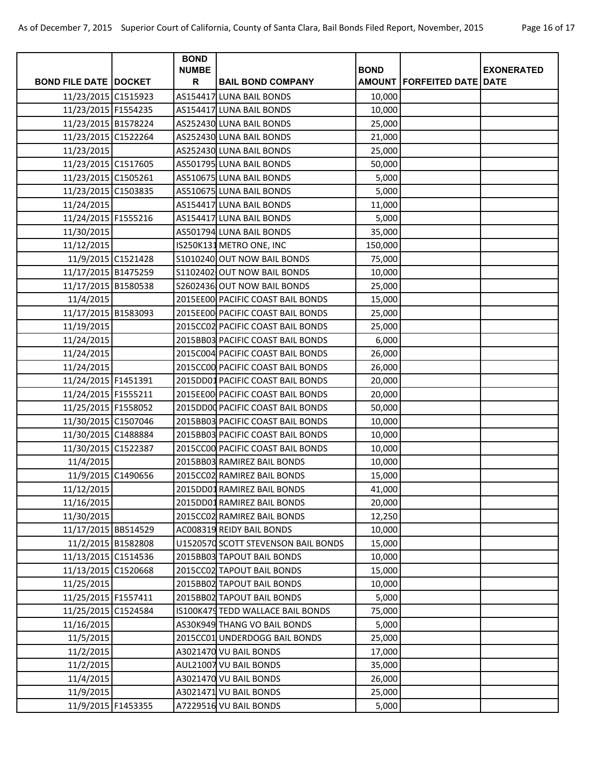|                              | <b>BOND</b>       |                                     |             |                                       |                   |
|------------------------------|-------------------|-------------------------------------|-------------|---------------------------------------|-------------------|
| <b>BOND FILE DATE DOCKET</b> | <b>NUMBE</b><br>R | <b>BAIL BOND COMPANY</b>            | <b>BOND</b> | <b>AMOUNT   FORFEITED DATE   DATE</b> | <b>EXONERATED</b> |
| 11/23/2015 C1515923          |                   | AS154417 LUNA BAIL BONDS            | 10,000      |                                       |                   |
| 11/23/2015 F1554235          |                   | AS154417 LUNA BAIL BONDS            | 10,000      |                                       |                   |
| 11/23/2015 B1578224          |                   | AS252430 LUNA BAIL BONDS            | 25,000      |                                       |                   |
| 11/23/2015 C1522264          |                   | AS252430 LUNA BAIL BONDS            | 21,000      |                                       |                   |
| 11/23/2015                   |                   | AS252430 LUNA BAIL BONDS            | 25,000      |                                       |                   |
| 11/23/2015 C1517605          |                   | AS501795 LUNA BAIL BONDS            | 50,000      |                                       |                   |
| 11/23/2015 C1505261          |                   | AS510675 LUNA BAIL BONDS            | 5,000       |                                       |                   |
| 11/23/2015 C1503835          |                   | AS510675 LUNA BAIL BONDS            | 5,000       |                                       |                   |
| 11/24/2015                   |                   | AS154417 LUNA BAIL BONDS            | 11,000      |                                       |                   |
| 11/24/2015 F1555216          |                   | AS154417 LUNA BAIL BONDS            | 5,000       |                                       |                   |
| 11/30/2015                   |                   | AS501794 LUNA BAIL BONDS            | 35,000      |                                       |                   |
| 11/12/2015                   |                   | IS250K131 METRO ONE, INC            | 150,000     |                                       |                   |
| 11/9/2015 C1521428           |                   | S1010240 OUT NOW BAIL BONDS         | 75,000      |                                       |                   |
| 11/17/2015 B1475259          |                   | S1102402 OUT NOW BAIL BONDS         | 10,000      |                                       |                   |
| 11/17/2015 B1580538          |                   | S2602436 OUT NOW BAIL BONDS         | 25,000      |                                       |                   |
| 11/4/2015                    |                   | 2015EE00 PACIFIC COAST BAIL BONDS   | 15,000      |                                       |                   |
| 11/17/2015 B1583093          |                   | 2015EE00 PACIFIC COAST BAIL BONDS   | 25,000      |                                       |                   |
| 11/19/2015                   |                   | 2015CC02 PACIFIC COAST BAIL BONDS   | 25,000      |                                       |                   |
| 11/24/2015                   |                   | 2015BB03 PACIFIC COAST BAIL BONDS   | 6,000       |                                       |                   |
| 11/24/2015                   |                   | 2015C004 PACIFIC COAST BAIL BONDS   | 26,000      |                                       |                   |
| 11/24/2015                   |                   | 2015CC00 PACIFIC COAST BAIL BONDS   | 26,000      |                                       |                   |
| 11/24/2015 F1451391          |                   | 2015DD01 PACIFIC COAST BAIL BONDS   | 20,000      |                                       |                   |
| 11/24/2015 F1555211          |                   | 2015EE00 PACIFIC COAST BAIL BONDS   | 20,000      |                                       |                   |
| 11/25/2015 F1558052          |                   | 2015DD00 PACIFIC COAST BAIL BONDS   | 50,000      |                                       |                   |
| 11/30/2015 C1507046          |                   | 2015BB03 PACIFIC COAST BAIL BONDS   | 10,000      |                                       |                   |
| 11/30/2015 C1488884          |                   | 2015BB03 PACIFIC COAST BAIL BONDS   | 10,000      |                                       |                   |
| 11/30/2015 C1522387          |                   | 2015CC00 PACIFIC COAST BAIL BONDS   | 10,000      |                                       |                   |
| 11/4/2015                    |                   | 2015BB03 RAMIREZ BAIL BONDS         | 10,000      |                                       |                   |
| 11/9/2015 C1490656           |                   | 2015CC02 RAMIREZ BAIL BONDS         | 15,000      |                                       |                   |
| 11/12/2015                   |                   | 2015DD01 RAMIREZ BAIL BONDS         | 41,000      |                                       |                   |
| 11/16/2015                   |                   | 2015DD01 RAMIREZ BAIL BONDS         | 20,000      |                                       |                   |
| 11/30/2015                   |                   | 2015CC02 RAMIREZ BAIL BONDS         | 12,250      |                                       |                   |
| 11/17/2015 BB514529          |                   | AC008319 REIDY BAIL BONDS           | 10,000      |                                       |                   |
| 11/2/2015 B1582808           |                   | U1520570 SCOTT STEVENSON BAIL BONDS | 15,000      |                                       |                   |
| 11/13/2015 C1514536          |                   | 2015BB03 TAPOUT BAIL BONDS          | 10,000      |                                       |                   |
| 11/13/2015 C1520668          |                   | 2015CC02 TAPOUT BAIL BONDS          | 15,000      |                                       |                   |
| 11/25/2015                   |                   | 2015BB02 TAPOUT BAIL BONDS          | 10,000      |                                       |                   |
| 11/25/2015 F1557411          |                   | 2015BB02 TAPOUT BAIL BONDS          | 5,000       |                                       |                   |
| 11/25/2015 C1524584          |                   | IS100K479 TEDD WALLACE BAIL BONDS   | 75,000      |                                       |                   |
| 11/16/2015                   |                   | AS30K949 THANG VO BAIL BONDS        | 5,000       |                                       |                   |
| 11/5/2015                    |                   | 2015CC01 UNDERDOGG BAIL BONDS       | 25,000      |                                       |                   |
| 11/2/2015                    |                   | A3021470 VU BAIL BONDS              | 17,000      |                                       |                   |
| 11/2/2015                    |                   | AUL21007 VU BAIL BONDS              | 35,000      |                                       |                   |
| 11/4/2015                    |                   | A3021470 VU BAIL BONDS              | 26,000      |                                       |                   |
| 11/9/2015                    |                   | A3021471 VU BAIL BONDS              | 25,000      |                                       |                   |
| 11/9/2015 F1453355           |                   | A7229516 VU BAIL BONDS              | 5,000       |                                       |                   |